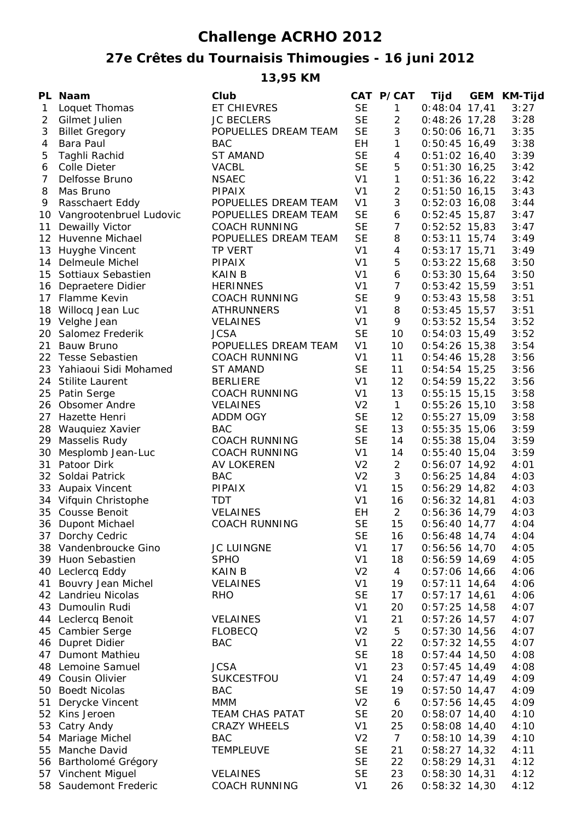## **Challenge ACRHO 2012**

## **27e Crêtes du Tournaisis Thimougies - 16 juni 2012**

**13,95 KM**

|                | PL Naam                    | Club                 |                | CAT P/CAT       | Tijd            | GEM KM-Tijd |
|----------------|----------------------------|----------------------|----------------|-----------------|-----------------|-------------|
| $\mathbf{1}$   | Loquet Thomas              | ET CHIEVRES          | <b>SE</b>      | $\mathbf{1}$    | $0:48:04$ 17,41 | 3:27        |
| 2              | Gilmet Julien              | <b>JC BECLERS</b>    | <b>SE</b>      | $\overline{2}$  | $0:48:26$ 17,28 | 3:28        |
| 3              | <b>Billet Gregory</b>      | POPUELLES DREAM TEAM | <b>SE</b>      | 3               | $0:50:06$ 16,71 | 3:35        |
| 4              | <b>Bara Paul</b>           | <b>BAC</b>           | EH.            | $\mathbf{1}$    | $0:50:45$ 16,49 | 3:38        |
| 5              | Taghli Rachid              | <b>ST AMAND</b>      | <b>SE</b>      | 4               | $0:51:02$ 16,40 | 3:39        |
| 6              | Colle Dieter               | <b>VACBL</b>         | <b>SE</b>      | 5               | $0:51:30$ 16,25 | 3:42        |
| $\overline{7}$ | Delfosse Bruno             | <b>NSAEC</b>         | V <sub>1</sub> | $\mathbf{1}$    | $0:51:36$ 16,22 | 3:42        |
| 8              | Mas Bruno                  | <b>PIPAIX</b>        | V <sub>1</sub> | $\overline{2}$  | $0:51:50$ 16,15 | 3:43        |
| 9              | Rasschaert Eddy            | POPUELLES DREAM TEAM | V <sub>1</sub> | $\mathfrak{Z}$  | $0:52:03$ 16,08 | 3:44        |
|                | 10 Vangrootenbruel Ludovic | POPUELLES DREAM TEAM | <b>SE</b>      | 6               | $0:52:45$ 15,87 | 3:47        |
| 11             | Dewailly Victor            | <b>COACH RUNNING</b> | <b>SE</b>      | $\overline{7}$  | $0:52:52$ 15,83 | 3:47        |
|                | 12 Huvenne Michael         | POPUELLES DREAM TEAM | <b>SE</b>      | 8               | $0:53:11$ 15,74 | 3:49        |
|                | 13 Huyghe Vincent          | <b>TP VERT</b>       | V <sub>1</sub> | $\overline{4}$  | $0:53:17$ 15,71 | 3:49        |
|                | 14 Delmeule Michel         | <b>PIPAIX</b>        | V <sub>1</sub> | 5               | $0:53:22$ 15,68 | 3:50        |
|                | 15 Sottiaux Sebastien      | <b>KAIN B</b>        | V <sub>1</sub> | 6               | $0:53:30$ 15,64 | 3:50        |
|                | 16 Depraetere Didier       | <b>HERINNES</b>      | V <sub>1</sub> | $\overline{7}$  | $0:53:42$ 15,59 | 3:51        |
|                | 17 Flamme Kevin            | <b>COACH RUNNING</b> | <b>SE</b>      | 9               | $0:53:43$ 15,58 | 3:51        |
|                | 18 Willocq Jean Luc        | <b>ATHRUNNERS</b>    | V <sub>1</sub> | 8               | $0:53:45$ 15,57 | 3:51        |
|                | 19 Velghe Jean             | <b>VELAINES</b>      | V <sub>1</sub> | 9               | $0:53:52$ 15,54 | 3:52        |
| 20             | Salomez Frederik           | <b>JCSA</b>          | <b>SE</b>      | 10              | $0:54:03$ 15,49 | 3:52        |
| 21             | Bauw Bruno                 | POPUELLES DREAM TEAM | V <sub>1</sub> | 10              | $0:54:26$ 15,38 | 3:54        |
|                | 22 Tesse Sebastien         | <b>COACH RUNNING</b> | V <sub>1</sub> | 11              | $0:54:46$ 15,28 | 3:56        |
|                | 23 Yahiaoui Sidi Mohamed   | ST AMAND             | <b>SE</b>      | 11              | $0:54:54$ 15,25 | 3:56        |
| 24             | <b>Stilite Laurent</b>     | <b>BERLIERE</b>      | V <sub>1</sub> | 12              | $0:54:59$ 15,22 | 3:56        |
|                | 25 Patin Serge             | <b>COACH RUNNING</b> | V <sub>1</sub> | 13              | $0:55:15$ 15,15 | 3:58        |
| 26             | Obsomer Andre              | <b>VELAINES</b>      | V <sub>2</sub> | $\mathbf{1}$    | $0:55:26$ 15,10 | 3:58        |
| 27             | Hazette Henri              | <b>ADDM OGY</b>      | <b>SE</b>      | 12              | $0:55:27$ 15,09 | 3:58        |
|                | 28 Wauquiez Xavier         | <b>BAC</b>           | <b>SE</b>      | 13              | $0:55:35$ 15,06 | 3:59        |
| 29             | Masselis Rudy              | <b>COACH RUNNING</b> | <b>SE</b>      | 14              | $0:55:38$ 15,04 | 3:59        |
| 30             | Mesplomb Jean-Luc          | <b>COACH RUNNING</b> | V <sub>1</sub> | 14              | $0:55:40$ 15,04 | 3:59        |
| 31             | Patoor Dirk                | <b>AV LOKEREN</b>    | V <sub>2</sub> | $\overline{2}$  | $0:56:07$ 14,92 | 4:01        |
| 32             | Soldai Patrick             | <b>BAC</b>           | V <sub>2</sub> | 3               | $0:56:25$ 14,84 | 4:03        |
|                | 33 Aupaix Vincent          | <b>PIPAIX</b>        | V <sub>1</sub> | 15              | $0:56:29$ 14,82 | 4:03        |
|                | 34 Vifquin Christophe      | <b>TDT</b>           | V <sub>1</sub> | 16              | $0:56:32$ 14,81 | 4:03        |
|                | 35 Cousse Benoit           | <b>VELAINES</b>      | EH             | $\overline{2}$  | $0:56:36$ 14,79 | 4:03        |
|                | 36 Dupont Michael          | <b>COACH RUNNING</b> | <b>SE</b>      | 15              | $0:56:40$ 14,77 | 4:04        |
|                | 37 Dorchy Cedric           |                      | <b>SE</b>      | 16              | $0:56:48$ 14,74 | 4:04        |
|                | 38 Vandenbroucke Gino      | <b>JC LUINGNE</b>    | V <sub>1</sub> | 17              | $0:56:56$ 14,70 | 4:05        |
|                | 39 Huon Sebastien          | <b>SPHO</b>          | V <sub>1</sub> | 18              | $0:56:59$ 14,69 | 4:05        |
|                | 40 Leclercq Eddy           | <b>KAIN B</b>        | V <sub>2</sub> | $\overline{4}$  | $0:57:06$ 14,66 | 4:06        |
| 41             | Bouvry Jean Michel         | <b>VELAINES</b>      | V <sub>1</sub> | 19              | $0:57:11$ 14,64 | 4:06        |
|                | 42 Landrieu Nicolas        | <b>RHO</b>           | <b>SE</b>      | 17              | $0:57:17$ 14,61 | 4:06        |
|                | 43 Dumoulin Rudi           |                      | V <sub>1</sub> | 20              | $0:57:25$ 14,58 | 4:07        |
|                | 44 Leclercq Benoit         | <b>VELAINES</b>      | V <sub>1</sub> | 21              | $0:57:26$ 14,57 | 4:07        |
|                | 45 Cambier Serge           | <b>FLOBECQ</b>       | V <sub>2</sub> | 5               | $0:57:30$ 14,56 | 4:07        |
|                | 46 Dupret Didier           | <b>BAC</b>           | V <sub>1</sub> | 22              | $0:57:32$ 14,55 | 4:07        |
|                | 47 Dumont Mathieu          |                      | <b>SE</b>      | 18              | $0:57:44$ 14,50 | 4:08        |
|                | 48 Lemoine Samuel          | <b>JCSA</b>          | V <sub>1</sub> | 23              | $0:57:45$ 14,49 | 4:08        |
|                | 49 Cousin Olivier          | SUKCESTFOU           | V <sub>1</sub> | 24              | $0:57:47$ 14,49 | 4:09        |
|                | 50 Boedt Nicolas           | <b>BAC</b>           | <b>SE</b>      | 19              | $0:57:50$ 14,47 | 4:09        |
| 51             | Derycke Vincent            | <b>MMM</b>           | V <sub>2</sub> | 6               | $0:57:56$ 14,45 | 4:09        |
|                | 52 Kins Jeroen             | TEAM CHAS PATAT      | <b>SE</b>      | 20              | $0:58:07$ 14,40 | 4:10        |
|                | 53 Catry Andy              | <b>CRAZY WHEELS</b>  | V <sub>1</sub> | 25              | $0:58:08$ 14,40 | 4:10        |
|                | 54 Mariage Michel          | <b>BAC</b>           | V <sub>2</sub> | $7\overline{ }$ | $0:58:10$ 14,39 | 4:10        |
|                | 55 Manche David            | <b>TEMPLEUVE</b>     | <b>SE</b>      | 21              | $0:58:27$ 14,32 | 4:11        |
|                | 56 Bartholomé Grégory      |                      | <b>SE</b>      | 22              | $0:58:29$ 14,31 | 4:12        |
|                | 57 Vinchent Miguel         | <b>VELAINES</b>      | <b>SE</b>      | 23              | $0:58:30$ 14,31 | 4:12        |
|                | 58 Saudemont Frederic      | <b>COACH RUNNING</b> | V <sub>1</sub> | 26              | $0:58:32$ 14,30 | 4:12        |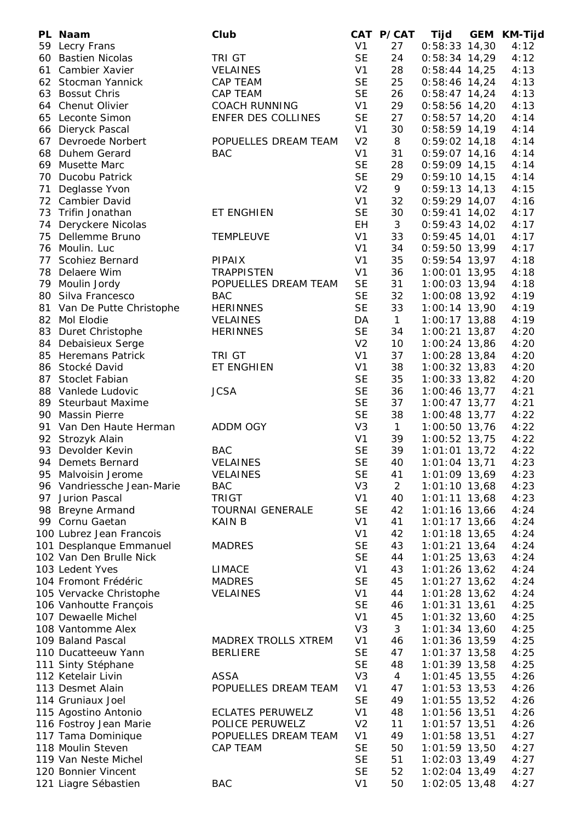|    | PL Naam                    | Club                    |                | CAT P/CAT      | Tijd            | <b>GEM</b> | <b>KM-Tijd</b> |
|----|----------------------------|-------------------------|----------------|----------------|-----------------|------------|----------------|
|    | 59 Lecry Frans             |                         | V <sub>1</sub> | 27             | $0:58:33$ 14,30 |            | 4:12           |
| 60 | <b>Bastien Nicolas</b>     | <b>TRI GT</b>           | <b>SE</b>      | 24             | $0:58:34$ 14,29 |            | 4:12           |
| 61 | Cambier Xavier             | <b>VELAINES</b>         | V <sub>1</sub> | 28             | $0:58:44$ 14,25 |            | 4:13           |
| 62 | Stocman Yannick            | CAP TEAM                | <b>SE</b>      | 25             | $0:58:46$ 14,24 |            | 4:13           |
| 63 | <b>Bossut Chris</b>        | <b>CAP TEAM</b>         | <b>SE</b>      | 26             | $0:58:47$ 14,24 |            | 4:13           |
|    | 64 Chenut Olivier          | <b>COACH RUNNING</b>    | V <sub>1</sub> | 29             | $0:58:56$ 14,20 |            | 4:13           |
| 65 | Leconte Simon              | ENFER DES COLLINES      | <b>SE</b>      | 27             | $0:58:57$ 14,20 |            | 4:14           |
| 66 | Dieryck Pascal             |                         | V <sub>1</sub> | 30             | $0:58:59$ 14,19 |            | 4:14           |
| 67 | Devroede Norbert           | POPUELLES DREAM TEAM    | V <sub>2</sub> | 8              | $0:59:02$ 14,18 |            | 4:14           |
| 68 | Duhem Gerard               | <b>BAC</b>              | V <sub>1</sub> | 31             | $0:59:07$ 14,16 |            | 4:14           |
| 69 | Musette Marc               |                         | <b>SE</b>      | 28             | $0:59:09$ 14,15 |            | 4:14           |
| 70 | Ducobu Patrick             |                         | <b>SE</b>      | 29             | $0:59:10$ 14,15 |            | 4:14           |
| 71 | Deglasse Yvon              |                         | V <sub>2</sub> | 9              | $0:59:13$ 14,13 |            | 4:15           |
|    | 72 Cambier David           |                         | V <sub>1</sub> | 32             | $0:59:29$ 14,07 |            | 4:16           |
| 73 | Trifin Jonathan            | ET ENGHIEN              | <b>SE</b>      | 30             | $0:59:41$ 14,02 |            | 4:17           |
| 74 | Deryckere Nicolas          |                         | EH             | 3              | $0:59:43$ 14,02 |            | 4:17           |
| 75 | Dellemme Bruno             | <b>TEMPLEUVE</b>        | V <sub>1</sub> | 33             | $0:59:45$ 14,01 |            | 4:17           |
|    | 76 Moulin. Luc             |                         | V <sub>1</sub> | 34             | $0:59:50$ 13,99 |            | 4:17           |
| 77 | Scohiez Bernard            | <b>PIPAIX</b>           | V <sub>1</sub> | 35             | $0:59:54$ 13,97 |            | 4:18           |
| 78 | Delaere Wim                | <b>TRAPPISTEN</b>       | V <sub>1</sub> | 36             | 1:00:01 13,95   |            | 4:18           |
|    | 79 Moulin Jordy            | POPUELLES DREAM TEAM    | <b>SE</b>      | 31             | $1:00:03$ 13,94 |            | 4:18           |
|    | 80 Silva Francesco         | <b>BAC</b>              | <b>SE</b>      | 32             | 1:00:08 13,92   |            | 4:19           |
|    | 81 Van De Putte Christophe | <b>HERINNES</b>         | <b>SE</b>      | 33             | 1:00:14 13,90   |            | 4:19           |
|    | 82 Mol Elodie              | <b>VELAINES</b>         | DA             | $\mathbf{1}$   | 1:00:17 13,88   |            | 4:19           |
|    | 83 Duret Christophe        | <b>HERINNES</b>         | <b>SE</b>      | 34             | $1:00:21$ 13,87 |            | 4:20           |
|    | 84 Debaisieux Serge        |                         | V <sub>2</sub> | 10             | 1:00:24 13,86   |            | 4:20           |
|    | 85 Heremans Patrick        | <b>TRI GT</b>           | V <sub>1</sub> | 37             | $1:00:28$ 13,84 |            | 4:20           |
|    | 86 Stocké David            | ET ENGHIEN              | V <sub>1</sub> | 38             | 1:00:32 13,83   |            | 4:20           |
| 87 | <b>Stoclet Fabian</b>      |                         | <b>SE</b>      | 35             | 1:00:33 13,82   |            | 4:20           |
|    | 88 Vanlede Ludovic         | <b>JCSA</b>             | <b>SE</b>      | 36             | 1:00:46 13,77   |            | 4:21           |
|    | 89 Steurbaut Maxime        |                         | <b>SE</b>      | 37             | $1:00:47$ 13,77 |            | 4:21           |
|    | 90 Massin Pierre           |                         | <b>SE</b>      | 38             | 1:00:48 13,77   |            | 4:22           |
|    | 91 Van Den Haute Herman    | <b>ADDM OGY</b>         | V <sub>3</sub> | $\mathbf{1}$   | 1:00:50 13,76   |            | 4:22           |
|    | 92 Strozyk Alain           |                         | V <sub>1</sub> | 39             | 1:00:52 13,75   |            | 4:22           |
| 93 | Devolder Kevin             | <b>BAC</b>              | <b>SE</b>      | 39             | $1:01:01$ 13,72 |            | 4:22           |
| 94 | Demets Bernard             | <b>VELAINES</b>         | <b>SE</b>      | 40             | $1:01:04$ 13,71 |            | 4:23           |
| 95 | Malvoisin Jerome           | <b>VELAINES</b>         | <b>SE</b>      | 41             | 1:01:09 13,69   |            | 4:23           |
|    | 96 Vandriessche Jean-Marie | <b>BAC</b>              | V <sub>3</sub> | $\overline{2}$ | 1:01:10 13,68   |            | 4:23           |
| 97 | Jurion Pascal              | <b>TRIGT</b>            | V <sub>1</sub> | 40             | $1:01:11$ 13,68 |            | 4:23           |
| 98 | <b>Breyne Armand</b>       | <b>TOURNAI GENERALE</b> | <b>SE</b>      | 42             | 1:01:16 13,66   |            | 4:24           |
|    | 99 Cornu Gaetan            | <b>KAIN B</b>           | V <sub>1</sub> | 41             | $1:01:17$ 13,66 |            | 4:24           |
|    | 100 Lubrez Jean Francois   |                         | V <sub>1</sub> | 42             | $1:01:18$ 13,65 |            | 4:24           |
|    | 101 Desplanque Emmanuel    | <b>MADRES</b>           | <b>SE</b>      | 43             | $1:01:21$ 13,64 |            | 4:24           |
|    | 102 Van Den Brulle Nick    |                         | <b>SE</b>      | 44             | $1:01:25$ 13,63 |            | 4:24           |
|    | 103 Ledent Yves            | <b>LIMACE</b>           | V <sub>1</sub> | 43             | $1:01:26$ 13,62 |            | 4:24           |
|    | 104 Fromont Frédéric       | <b>MADRES</b>           | <b>SE</b>      | 45             | $1:01:27$ 13,62 |            | 4:24           |
|    | 105 Vervacke Christophe    | <b>VELAINES</b>         | V <sub>1</sub> | 44             | $1:01:28$ 13,62 |            | 4:24           |
|    | 106 Vanhoutte François     |                         | <b>SE</b>      | 46             | $1:01:31$ 13,61 |            | 4:25           |
|    | 107 Dewaelle Michel        |                         | V <sub>1</sub> | 45             | $1:01:32$ 13,60 |            | 4:25           |
|    | 108 Vantomme Alex          |                         | V <sub>3</sub> | 3              | $1:01:34$ 13,60 |            | 4:25           |
|    | 109 Baland Pascal          | MADREX TROLLS XTREM     | V <sub>1</sub> | 46             | $1:01:36$ 13,59 |            | 4:25           |
|    | 110 Ducatteeuw Yann        | <b>BERLIERE</b>         | <b>SE</b>      | 47             | $1:01:37$ 13,58 |            | 4:25           |
|    | 111 Sinty Stéphane         |                         | <b>SE</b>      | 48             | $1:01:39$ 13,58 |            | 4:25           |
|    | 112 Ketelair Livin         | ASSA                    | V <sub>3</sub> | $\overline{4}$ | $1:01:45$ 13,55 |            | 4:26           |
|    | 113 Desmet Alain           | POPUELLES DREAM TEAM    | V <sub>1</sub> | 47             | $1:01:53$ 13,53 |            | 4:26           |
|    | 114 Gruniaux Joel          |                         | <b>SE</b>      | 49             | $1:01:55$ 13,52 |            | 4:26           |
|    | 115 Agostino Antonio       | <b>ECLATES PERUWELZ</b> | V <sub>1</sub> | 48             | $1:01:56$ 13,51 |            | 4:26           |
|    | 116 Fostroy Jean Marie     | POLICE PERUWELZ         | V <sub>2</sub> | 11             | $1:01:57$ 13,51 |            | 4:26           |
|    | 117 Tama Dominique         | POPUELLES DREAM TEAM    | V <sub>1</sub> | 49             | $1:01:58$ 13,51 |            | 4:27           |
|    | 118 Moulin Steven          | CAP TEAM                | <b>SE</b>      | 50             | 1:01:59 13,50   |            | 4:27           |
|    | 119 Van Neste Michel       |                         | <b>SE</b>      | 51             | $1:02:03$ 13,49 |            | 4:27           |
|    | 120 Bonnier Vincent        |                         | <b>SE</b>      | 52             | 1:02:04 13,49   |            | 4:27           |
|    | 121 Liagre Sébastien       | <b>BAC</b>              | V <sub>1</sub> | 50             | 1:02:05 13,48   |            | 4:27           |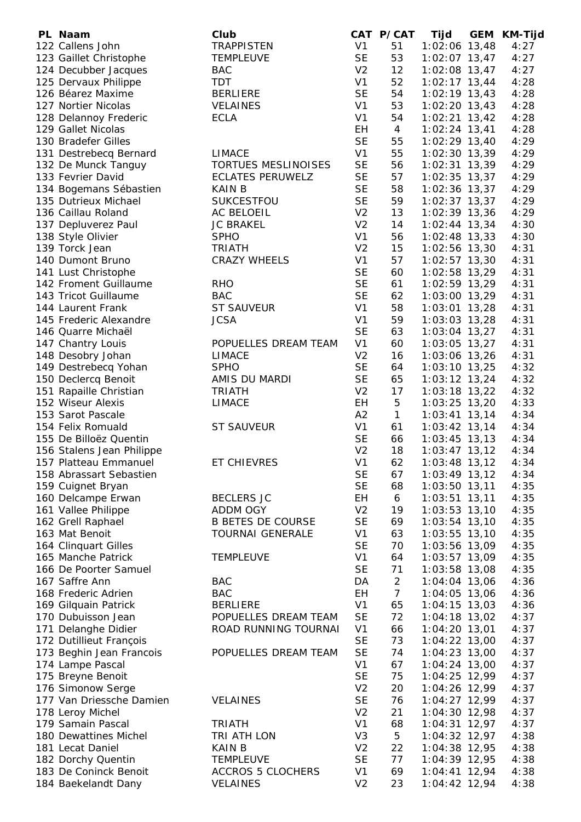| PL Naam                   | Club                     |                | CAT P/CAT      | Tijd            | <b>GEM</b> | <b>KM-Tijd</b> |
|---------------------------|--------------------------|----------------|----------------|-----------------|------------|----------------|
| 122 Callens John          | <b>TRAPPISTEN</b>        | V <sub>1</sub> | 51             | 1:02:06 13,48   |            | 4:27           |
| 123 Gaillet Christophe    | <b>TEMPLEUVE</b>         | <b>SE</b>      | 53             | 1:02:07 13,47   |            | 4:27           |
| 124 Decubber Jacques      | <b>BAC</b>               | V <sub>2</sub> | 12             | 1:02:08 13,47   |            | 4:27           |
| 125 Dervaux Philippe      | <b>TDT</b>               | V <sub>1</sub> | 52             | $1:02:17$ 13,44 |            | 4:28           |
| 126 Béarez Maxime         | <b>BERLIERE</b>          | <b>SE</b>      | 54             | 1:02:19 13,43   |            | 4:28           |
| 127 Nortier Nicolas       | <b>VELAINES</b>          | V <sub>1</sub> | 53             | $1:02:20$ 13,43 |            | 4:28           |
| 128 Delannoy Frederic     | <b>ECLA</b>              | V <sub>1</sub> | 54             | $1:02:21$ 13,42 |            | 4:28           |
| 129 Gallet Nicolas        |                          | EH             | $\overline{4}$ | $1:02:24$ 13,41 |            | 4:28           |
| 130 Bradefer Gilles       |                          | <b>SE</b>      | 55             |                 |            | 4:29           |
|                           |                          |                |                | 1:02:29 13,40   |            |                |
| 131 Destrebecq Bernard    | <b>LIMACE</b>            | V <sub>1</sub> | 55             | $1:02:30$ 13,39 |            | 4:29           |
| 132 De Munck Tanguy       | TORTUES MESLINOISES      | <b>SE</b>      | 56             | $1:02:31$ 13,39 |            | 4:29           |
| 133 Fevrier David         | <b>ECLATES PERUWELZ</b>  | <b>SE</b>      | 57             | $1:02:35$ 13,37 |            | 4:29           |
| 134 Bogemans Sébastien    | <b>KAIN B</b>            | <b>SE</b>      | 58             | 1:02:36 13,37   |            | 4:29           |
| 135 Dutrieux Michael      | SUKCESTFOU               | <b>SE</b>      | 59             | $1:02:37$ 13,37 |            | 4:29           |
| 136 Caillau Roland        | AC BELOEIL               | V <sub>2</sub> | 13             | 1:02:39 13,36   |            | 4:29           |
| 137 Depluverez Paul       | <b>JC BRAKEL</b>         | V <sub>2</sub> | 14             | $1:02:44$ 13,34 |            | 4:30           |
| 138 Style Olivier         | <b>SPHO</b>              | V <sub>1</sub> | 56             | $1:02:48$ 13,33 |            | 4:30           |
| 139 Torck Jean            | <b>TRIATH</b>            | V <sub>2</sub> | 15             | $1:02:56$ 13,30 |            | 4:31           |
| 140 Dumont Bruno          | <b>CRAZY WHEELS</b>      | V <sub>1</sub> | 57             | $1:02:57$ 13,30 |            | 4:31           |
| 141 Lust Christophe       |                          | <b>SE</b>      | 60             | $1:02:58$ 13,29 |            | 4:31           |
| 142 Froment Guillaume     | <b>RHO</b>               | <b>SE</b>      | 61             | $1:02:59$ 13,29 |            | 4:31           |
| 143 Tricot Guillaume      | <b>BAC</b>               | <b>SE</b>      | 62             | $1:03:00$ 13,29 |            | 4:31           |
| 144 Laurent Frank         | <b>ST SAUVEUR</b>        | V <sub>1</sub> | 58             | $1:03:01$ 13,28 |            | 4:31           |
|                           |                          |                |                |                 |            |                |
| 145 Frederic Alexandre    | <b>JCSA</b>              | V <sub>1</sub> | 59             | $1:03:03$ 13,28 |            | 4:31           |
| 146 Quarre Michaël        |                          | <b>SE</b>      | 63             | $1:03:04$ 13,27 |            | 4:31           |
| 147 Chantry Louis         | POPUELLES DREAM TEAM     | V <sub>1</sub> | 60             | $1:03:05$ 13,27 |            | 4:31           |
| 148 Desobry Johan         | <b>LIMACE</b>            | V <sub>2</sub> | 16             | $1:03:06$ 13,26 |            | 4:31           |
| 149 Destrebecq Yohan      | <b>SPHO</b>              | <b>SE</b>      | 64             | $1:03:10$ 13,25 |            | 4:32           |
| 150 Declercq Benoit       | AMIS DU MARDI            | <b>SE</b>      | 65             | $1:03:12$ 13,24 |            | 4:32           |
| 151 Rapaille Christian    | <b>TRIATH</b>            | V <sub>2</sub> | 17             | $1:03:18$ 13,22 |            | 4:32           |
| 152 Wiseur Alexis         | <b>LIMACE</b>            | EH             | 5              | $1:03:25$ 13,20 |            | 4:33           |
| 153 Sarot Pascale         |                          | A2             | $\mathbf{1}$   | $1:03:41$ 13,14 |            | 4:34           |
| 154 Felix Romuald         | <b>ST SAUVEUR</b>        | V <sub>1</sub> | 61             | $1:03:42$ 13,14 |            | 4:34           |
| 155 De Billoëz Quentin    |                          | <b>SE</b>      | 66             | $1:03:45$ 13,13 |            | 4:34           |
| 156 Stalens Jean Philippe |                          | V <sub>2</sub> | 18             | $1:03:47$ 13,12 |            | 4:34           |
| 157 Platteau Emmanuel     | <b>ET CHIEVRES</b>       | V <sub>1</sub> | 62             | $1:03:48$ 13,12 |            | 4:34           |
| 158 Abrassart Sebastien   |                          | <b>SE</b>      | 67             | $1:03:49$ 13,12 |            | 4:34           |
| 159 Cuignet Bryan         |                          | <b>SE</b>      | 68             | 1:03:50 13,11   |            | 4:35           |
| 160 Delcampe Erwan        | <b>BECLERS JC</b>        | EH             | 6              | $1:03:51$ 13,11 |            | 4:35           |
| 161 Vallee Philippe       | ADDM OGY                 | V <sub>2</sub> | 19             | $1:03:53$ 13,10 |            | 4:35           |
| 162 Grell Raphael         | <b>B BETES DE COURSE</b> | <b>SE</b>      | 69             | $1:03:54$ 13,10 |            | 4:35           |
| 163 Mat Benoit            | <b>TOURNAI GENERALE</b>  | V <sub>1</sub> | 63             | $1:03:55$ 13,10 |            | 4:35           |
| 164 Clinquart Gilles      |                          | <b>SE</b>      | 70             | 1:03:56 13,09   |            | 4:35           |
| 165 Manche Patrick        |                          | V <sub>1</sub> | 64             |                 |            |                |
|                           | <b>TEMPLEUVE</b>         |                |                | 1:03:57 13,09   |            | 4:35           |
| 166 De Poorter Samuel     |                          | <b>SE</b>      | 71             | $1:03:58$ 13,08 |            | 4:35           |
| 167 Saffre Ann            | <b>BAC</b>               | DA             | $\overline{2}$ | $1:04:04$ 13,06 |            | 4:36           |
| 168 Frederic Adrien       | <b>BAC</b>               | EH             | $\overline{7}$ | $1:04:05$ 13,06 |            | 4:36           |
| 169 Gilquain Patrick      | <b>BERLIERE</b>          | V <sub>1</sub> | 65             | $1:04:15$ 13,03 |            | 4:36           |
| 170 Dubuisson Jean        | POPUELLES DREAM TEAM     | <b>SE</b>      | 72             | $1:04:18$ 13,02 |            | 4:37           |
| 171 Delanghe Didier       | ROAD RUNNING TOURNAI     | V <sub>1</sub> | 66             | $1:04:20$ 13,01 |            | 4:37           |
| 172 Dutillieut François   |                          | <b>SE</b>      | 73             | $1:04:22$ 13,00 |            | 4:37           |
| 173 Beghin Jean Francois  | POPUELLES DREAM TEAM     | <b>SE</b>      | 74             | $1:04:23$ 13,00 |            | 4:37           |
| 174 Lampe Pascal          |                          | V <sub>1</sub> | 67             | $1:04:24$ 13,00 |            | 4:37           |
| 175 Breyne Benoit         |                          | <b>SE</b>      | 75             | 1:04:25 12,99   |            | 4:37           |
| 176 Simonow Serge         |                          | V <sub>2</sub> | 20             | 1:04:26 12,99   |            | 4:37           |
| 177 Van Driessche Damien  | <b>VELAINES</b>          | <b>SE</b>      | 76             | $1:04:27$ 12,99 |            | 4:37           |
| 178 Leroy Michel          |                          | V <sub>2</sub> | 21             | $1:04:30$ 12,98 |            | 4:37           |
| 179 Samain Pascal         | <b>TRIATH</b>            | V <sub>1</sub> | 68             | $1:04:31$ 12,97 |            | 4:37           |
| 180 Dewattines Michel     | TRI ATH LON              | V <sub>3</sub> | 5              | $1:04:32$ 12,97 |            | 4:38           |
| 181 Lecat Daniel          | <b>KAIN B</b>            | V <sub>2</sub> | 22             | 1:04:38 12,95   |            | 4:38           |
| 182 Dorchy Quentin        | <b>TEMPLEUVE</b>         | <b>SE</b>      | 77             | 1:04:39 12,95   |            | 4:38           |
| 183 De Coninck Benoit     |                          | V <sub>1</sub> | 69             |                 |            |                |
|                           | <b>ACCROS 5 CLOCHERS</b> |                |                | $1:04:41$ 12,94 |            | 4:38           |
| 184 Baekelandt Dany       | <b>VELAINES</b>          | V <sub>2</sub> | 23             | 1:04:42 12,94   |            | 4:38           |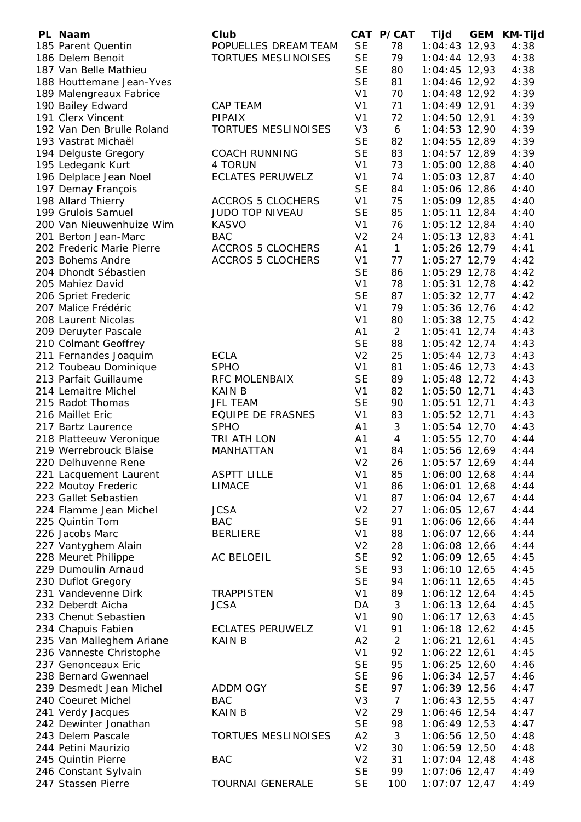| PL Naam                                       | Club                       |                | CAT P/CAT      | Tijd                           | GEM | <b>KM-Tijd</b> |
|-----------------------------------------------|----------------------------|----------------|----------------|--------------------------------|-----|----------------|
| 185 Parent Quentin                            | POPUELLES DREAM TEAM       | <b>SE</b>      | 78             | $1:04:43$ 12,93                |     | 4:38           |
| 186 Delem Benoit                              | <b>TORTUES MESLINOISES</b> | <b>SE</b>      | 79             | $1:04:44$ 12,93                |     | 4:38           |
| 187 Van Belle Mathieu                         |                            | <b>SE</b>      | 80             | $1:04:45$ 12,93                |     | 4:38           |
| 188 Houttemane Jean-Yves                      |                            | <b>SE</b>      | 81             | 1:04:46 12,92                  |     | 4:39           |
| 189 Malengreaux Fabrice                       |                            | V <sub>1</sub> | 70             | 1:04:48 12,92                  |     | 4:39           |
| 190 Bailey Edward                             | CAP TEAM                   | V <sub>1</sub> | 71             | $1:04:49$ 12,91                |     | 4:39           |
| 191 Clerx Vincent                             | <b>PIPAIX</b>              | V <sub>1</sub> | 72             | $1:04:50$ 12,91                |     | 4:39           |
| 192 Van Den Brulle Roland                     | TORTUES MESLINOISES        | V <sub>3</sub> | 6              | $1:04:53$ 12,90                |     | 4:39           |
| 193 Vastrat Michaël                           |                            | <b>SE</b>      | 82             | 1:04:55 12,89                  |     | 4:39           |
| 194 Delguste Gregory                          | <b>COACH RUNNING</b>       | <b>SE</b>      | 83             | $1:04:57$ 12,89                |     | 4:39           |
| 195 Ledegank Kurt                             | 4 TORUN                    | V <sub>1</sub> | 73             | $1:05:00$ 12,88                |     | 4:40           |
| 196 Delplace Jean Noel                        | <b>ECLATES PERUWELZ</b>    | V <sub>1</sub> | 74             | $1:05:03$ 12,87                |     | 4:40           |
| 197 Demay François                            |                            | <b>SE</b>      | 84             | 1:05:06 12,86                  |     | 4:40           |
| 198 Allard Thierry                            | <b>ACCROS 5 CLOCHERS</b>   | V <sub>1</sub> | 75             | 1:05:09 12,85                  |     | 4:40           |
| 199 Grulois Samuel                            | JUDO TOP NIVEAU            | <b>SE</b>      | 85             | $1:05:11$ 12,84                |     | 4:40           |
| 200 Van Nieuwenhuize Wim                      | <b>KASVO</b>               | V <sub>1</sub> | 76             | $1:05:12$ 12,84                |     | 4:40           |
| 201 Berton Jean-Marc                          | <b>BAC</b>                 | V <sub>2</sub> | 24             | $1:05:13$ 12,83                |     | 4:41           |
| 202 Frederic Marie Pierre                     | <b>ACCROS 5 CLOCHERS</b>   | A1             | $\mathbf{1}$   | $1:05:26$ 12,79                |     | 4:41           |
| 203 Bohems Andre                              | <b>ACCROS 5 CLOCHERS</b>   | V <sub>1</sub> | 77             | 1:05:27 12,79                  |     | 4:42           |
| 204 Dhondt Sébastien                          |                            | <b>SE</b>      | 86             | 1:05:29 12,78                  |     | 4:42           |
| 205 Mahiez David                              |                            | V <sub>1</sub> | 78             | 1:05:31 12,78                  |     | 4:42           |
| 206 Spriet Frederic                           |                            | <b>SE</b>      | 87             | $1:05:32$ 12,77                |     | 4:42           |
| 207 Malice Frédéric                           |                            | V <sub>1</sub> | 79             | 1:05:36 12,76                  |     | 4:42           |
| 208 Laurent Nicolas                           |                            | V <sub>1</sub> | 80             | 1:05:38 12,75                  |     | 4:42           |
| 209 Deruyter Pascale                          |                            | A1             | $\overline{2}$ | $1:05:41$ 12,74                |     | 4:43           |
| 210 Colmant Geoffrey                          |                            | <b>SE</b>      | 88             | $1:05:42$ 12,74                |     | 4:43           |
| 211 Fernandes Joaquim                         | <b>ECLA</b>                | V <sub>2</sub> | 25             | $1:05:44$ 12,73                |     | 4:43           |
| 212 Toubeau Dominique                         | <b>SPHO</b>                | V <sub>1</sub> | 81             | 1:05:46 12,73                  |     | 4:43           |
| 213 Parfait Guillaume                         | RFC MOLENBAIX              | <b>SE</b>      | 89             | $1:05:48$ 12,72                |     | 4:43           |
| 214 Lemaitre Michel                           | <b>KAIN B</b>              | V <sub>1</sub> | 82             | $1:05:50$ 12,71                |     | 4:43           |
| 215 Radot Thomas                              | <b>JFL TEAM</b>            | <b>SE</b>      | 90             | $1:05:51$ 12,71                |     | 4:43           |
| 216 Maillet Eric                              | EQUIPE DE FRASNES          | V <sub>1</sub> | 83             | 1:05:52 12,71                  |     | 4:43           |
| 217 Bartz Laurence                            | <b>SPHO</b>                | A1             | 3              | 1:05:54 12,70                  |     | 4:43           |
| 218 Platteeuw Veronique                       | TRI ATH LON                | A1             | $\overline{4}$ | 1:05:55 12,70                  |     | 4:44           |
| 219 Werrebrouck Blaise                        | <b>MANHATTAN</b>           | V <sub>1</sub> | 84             | 1:05:56 12,69                  |     | 4:44           |
|                                               |                            | V <sub>2</sub> | 26             |                                |     | 4:44           |
| 220 Delhuvenne Rene                           | <b>ASPTT LILLE</b>         | V <sub>1</sub> | 85             | 1:05:57 12,69<br>1:06:00 12,68 |     | 4:44           |
| 221 Lacquement Laurent<br>222 Moutoy Frederic | <b>LIMACE</b>              | V <sub>1</sub> | 86             | 1:06:01 12,68                  |     | 4:44           |
| 223 Gallet Sebastien                          |                            | V <sub>1</sub> | 87             | $1:06:04$ 12,67                |     | 4:44           |
| 224 Flamme Jean Michel                        | <b>JCSA</b>                | V <sub>2</sub> | 27             | $1:06:05$ 12,67                |     | 4:44           |
| 225 Quintin Tom                               | <b>BAC</b>                 | <b>SE</b>      | 91             | 1:06:06 12,66                  |     | 4:44           |
| 226 Jacobs Marc                               | <b>BERLIERE</b>            | V <sub>1</sub> | 88             | 1:06:07 12,66                  |     | 4:44           |
| 227 Vantyghem Alain                           |                            | V <sub>2</sub> | 28             | 1:06:08 12,66                  |     | 4:44           |
| 228 Meuret Philippe                           | AC BELOEIL                 | <b>SE</b>      | 92             | 1:06:09 12,65                  |     | 4:45           |
| 229 Dumoulin Arnaud                           |                            | <b>SE</b>      | 93             | $1:06:10$ 12,65                |     | 4:45           |
| 230 Duflot Gregory                            |                            | <b>SE</b>      | 94             | $1:06:11$ 12,65                |     | 4:45           |
| 231 Vandevenne Dirk                           | <b>TRAPPISTEN</b>          | V <sub>1</sub> | 89             | $1:06:12$ 12,64                |     | 4:45           |
| 232 Deberdt Aicha                             | <b>JCSA</b>                | DA             | 3              | $1:06:13$ 12,64                |     | 4:45           |
|                                               |                            | V <sub>1</sub> |                |                                |     |                |
| 233 Chenut Sebastien                          | <b>ECLATES PERUWELZ</b>    | V <sub>1</sub> | 90<br>91       | $1:06:17$ 12,63                |     | 4:45           |
| 234 Chapuis Fabien                            |                            |                |                | $1:06:18$ 12,62                |     | 4:45           |
| 235 Van Malleghem Ariane                      | <b>KAIN B</b>              | A2             | $\overline{2}$ | $1:06:21$ 12,61                |     | 4:45           |
| 236 Vanneste Christophe                       |                            | V <sub>1</sub> | 92             | $1:06:22$ 12,61                |     | 4:45           |
| 237 Genonceaux Eric                           |                            | <b>SE</b>      | 95             | 1:06:25 12,60                  |     | 4:46           |
| 238 Bernard Gwennael                          |                            | <b>SE</b>      | 96             | 1:06:34 12,57                  |     | 4:46           |
| 239 Desmedt Jean Michel                       | <b>ADDM OGY</b>            | <b>SE</b>      | 97             | 1:06:39 12,56                  |     | 4:47           |
| 240 Coeuret Michel                            | <b>BAC</b>                 | V <sub>3</sub> | $\overline{7}$ | 1:06:43 12,55                  |     | 4:47           |
| 241 Verdy Jacques                             | <b>KAIN B</b>              | V <sub>2</sub> | 29             | 1:06:46 12,54                  |     | 4:47           |
| 242 Dewinter Jonathan                         |                            | <b>SE</b>      | 98             | 1:06:49 12,53                  |     | 4:47           |
| 243 Delem Pascale                             | <b>TORTUES MESLINOISES</b> | A2             | 3              | 1:06:56 12,50                  |     | 4:48           |
| 244 Petini Maurizio                           |                            | V <sub>2</sub> | 30             | 1:06:59 12,50                  |     | 4:48           |
| 245 Quintin Pierre                            | <b>BAC</b>                 | V <sub>2</sub> | 31             | $1:07:04$ 12,48                |     | 4:48           |
| 246 Constant Sylvain                          |                            | <b>SE</b>      | 99             | 1:07:06 12,47                  |     | 4:49           |
| 247 Stassen Pierre                            | <b>TOURNAI GENERALE</b>    | <b>SE</b>      | 100            | $1:07:07$ 12,47                |     | 4:49           |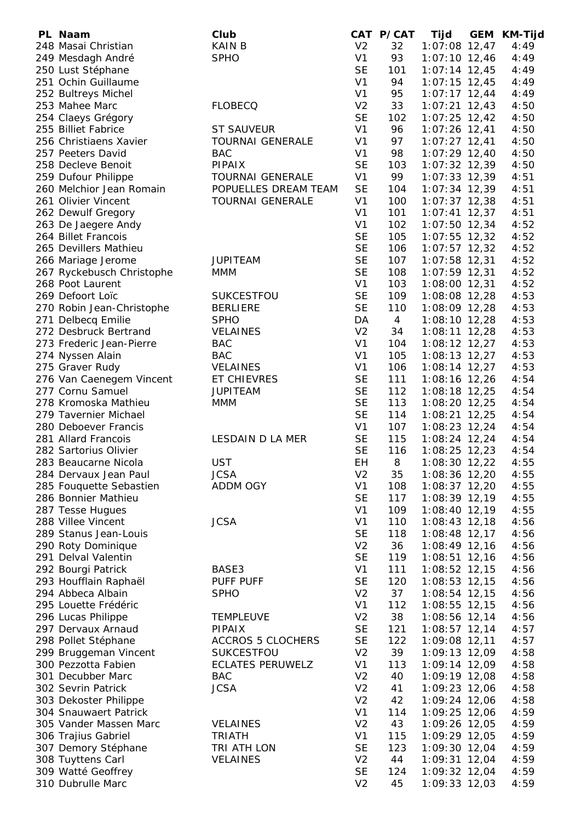| PL Naam                                   | Club                     |                | CAT P/CAT      | Tijd            | GEM | KM-Tijd |
|-------------------------------------------|--------------------------|----------------|----------------|-----------------|-----|---------|
| 248 Masai Christian                       | <b>KAIN B</b>            | V <sub>2</sub> | 32             | $1:07:08$ 12,47 |     | 4:49    |
| 249 Mesdagh André                         | <b>SPHO</b>              | V <sub>1</sub> | 93             | $1:07:10$ 12,46 |     | 4:49    |
| 250 Lust Stéphane                         |                          | <b>SE</b>      | 101            | $1:07:14$ 12,45 |     | 4:49    |
| 251 Ochin Guillaume                       |                          | V <sub>1</sub> | 94             | $1:07:15$ 12,45 |     | 4:49    |
| 252 Bultreys Michel                       |                          | V <sub>1</sub> | 95             | $1:07:17$ 12,44 |     | 4:49    |
| 253 Mahee Marc                            | <b>FLOBECQ</b>           | V <sub>2</sub> | 33             | $1:07:21$ 12,43 |     | 4:50    |
| 254 Claeys Grégory                        |                          | <b>SE</b>      | 102            | $1:07:25$ 12,42 |     | 4:50    |
| 255 Billiet Fabrice                       | <b>ST SAUVEUR</b>        | V <sub>1</sub> | 96             | $1:07:26$ 12,41 |     | 4:50    |
| 256 Christiaens Xavier                    | <b>TOURNAI GENERALE</b>  | V <sub>1</sub> | 97             | $1:07:27$ 12,41 |     | 4:50    |
| 257 Peeters David                         | <b>BAC</b>               | V <sub>1</sub> | 98             | 1:07:29 12,40   |     | 4:50    |
| 258 Decleve Benoit                        | <b>PIPAIX</b>            | <b>SE</b>      | 103            | $1:07:32$ 12,39 |     | 4:50    |
| 259 Dufour Philippe                       | <b>TOURNAI GENERALE</b>  | V <sub>1</sub> | 99             | $1:07:33$ 12,39 |     | 4:51    |
| 260 Melchior Jean Romain                  | POPUELLES DREAM TEAM     | <b>SE</b>      | 104            | 1:07:34 12,39   |     | 4:51    |
| 261 Olivier Vincent                       |                          | V <sub>1</sub> | 100            |                 |     |         |
|                                           | <b>TOURNAI GENERALE</b>  | V <sub>1</sub> | 101            | $1:07:37$ 12,38 |     | 4:51    |
| 262 Dewulf Gregory                        |                          |                |                | $1:07:41$ 12,37 |     | 4:51    |
| 263 De Jaegere Andy                       |                          | V <sub>1</sub> | 102            | $1:07:50$ 12,34 |     | 4:52    |
| 264 Billet Francois                       |                          | <b>SE</b>      | 105            | $1:07:55$ 12,32 |     | 4:52    |
| 265 Devillers Mathieu                     |                          | <b>SE</b>      | 106            | $1:07:57$ 12,32 |     | 4:52    |
| 266 Mariage Jerome                        | <b>JUPITEAM</b>          | <b>SE</b>      | 107            | $1:07:58$ 12,31 |     | 4:52    |
| 267 Ryckebusch Christophe                 | <b>MMM</b>               | <b>SE</b>      | 108            | $1:07:59$ 12,31 |     | 4:52    |
| 268 Poot Laurent                          |                          | V <sub>1</sub> | 103            | $1:08:00$ 12,31 |     | 4:52    |
| 269 Defoort Loïc                          | <b>SUKCESTFOU</b>        | <b>SE</b>      | 109            | 1:08:08 12,28   |     | 4:53    |
| 270 Robin Jean-Christophe                 | <b>BERLIERE</b>          | <b>SE</b>      | 110            | 1:08:09 12,28   |     | 4:53    |
| 271 Delbecq Emilie                        | <b>SPHO</b>              | DA             | $\overline{4}$ | $1:08:10$ 12,28 |     | 4:53    |
| 272 Desbruck Bertrand                     | <b>VELAINES</b>          | V <sub>2</sub> | 34             | $1:08:11$ 12,28 |     | 4:53    |
| 273 Frederic Jean-Pierre                  | <b>BAC</b>               | V <sub>1</sub> | 104            | $1:08:12$ 12,27 |     | 4:53    |
| 274 Nyssen Alain                          | <b>BAC</b>               | V <sub>1</sub> | 105            | $1:08:13$ 12,27 |     | 4:53    |
| 275 Graver Rudy                           | <b>VELAINES</b>          | V <sub>1</sub> | 106            | $1:08:14$ 12,27 |     | 4:53    |
| 276 Van Caenegem Vincent                  | ET CHIEVRES              | <b>SE</b>      | 111            | 1:08:16 12,26   |     | 4:54    |
| 277 Cornu Samuel                          | <b>JUPITEAM</b>          | <b>SE</b>      | 112            | 1:08:18 12,25   |     | 4:54    |
| 278 Kromoska Mathieu                      | <b>MMM</b>               | <b>SE</b>      | 113            | $1:08:20$ 12,25 |     | 4:54    |
| 279 Tavernier Michael                     |                          | <b>SE</b>      | 114            | 1:08:21 12,25   |     | 4:54    |
| 280 Deboever Francis                      |                          | V <sub>1</sub> | 107            | 1:08:23 12,24   |     | 4:54    |
| 281 Allard Francois                       | LESDAIN D LA MER         | <b>SE</b>      | 115            | 1:08:24 12,24   |     | 4:54    |
| 282 Sartorius Olivier                     |                          | <b>SE</b>      | 116            | $1:08:25$ 12,23 |     | 4:54    |
| 283 Beaucarne Nicola                      | <b>UST</b>               | <b>EH</b>      | 8              | 1:08:30 12,22   |     | 4:55    |
| 284 Dervaux Jean Paul                     | <b>JCSA</b>              | V <sub>2</sub> | 35             | 1:08:36 12,20   |     | 4:55    |
| 285 Fouquette Sebastien                   | ADDM OGY                 | V <sub>1</sub> | 108            | 1:08:37 12,20   |     | 4:55    |
| 286 Bonnier Mathieu                       |                          | <b>SE</b>      | 117            | 1:08:39 12,19   |     | 4:55    |
| 287 Tesse Hugues                          |                          | V <sub>1</sub> | 109            | 1:08:40 12,19   |     | 4:55    |
| 288 Villee Vincent                        | <b>JCSA</b>              | V <sub>1</sub> | 110            | $1:08:43$ 12,18 |     | 4:56    |
| 289 Stanus Jean-Louis                     |                          | <b>SE</b>      | 118            | 1:08:48 12,17   |     | 4:56    |
|                                           |                          | V <sub>2</sub> | 36             |                 |     | 4:56    |
| 290 Roty Dominique<br>291 Delval Valentin |                          | <b>SE</b>      | 119            | 1:08:49 12,16   |     |         |
|                                           |                          | V <sub>1</sub> |                | $1:08:51$ 12,16 |     | 4:56    |
| 292 Bourgi Patrick                        | BASE3                    |                | 111            | $1:08:52$ 12,15 |     | 4:56    |
| 293 Houfflain Raphaël                     | PUFF PUFF                | <b>SE</b>      | 120            | 1:08:53 12,15   |     | 4:56    |
| 294 Abbeca Albain                         | <b>SPHO</b>              | V <sub>2</sub> | 37             | $1:08:54$ 12,15 |     | 4:56    |
| 295 Louette Frédéric                      |                          | V <sub>1</sub> | 112            | $1:08:55$ 12,15 |     | 4:56    |
| 296 Lucas Philippe                        | <b>TEMPLEUVE</b>         | V <sub>2</sub> | 38             | $1:08:56$ 12,14 |     | 4:56    |
| 297 Dervaux Arnaud                        | <b>PIPAIX</b>            | <b>SE</b>      | 121            | $1:08:57$ 12,14 |     | 4:57    |
| 298 Pollet Stéphane                       | <b>ACCROS 5 CLOCHERS</b> | <b>SE</b>      | 122            | 1:09:08 12,11   |     | 4:57    |
| 299 Bruggeman Vincent                     | SUKCESTFOU               | V <sub>2</sub> | 39             | 1:09:13 12,09   |     | 4:58    |
| 300 Pezzotta Fabien                       | <b>ECLATES PERUWELZ</b>  | V <sub>1</sub> | 113            | 1:09:14 12,09   |     | 4:58    |
| 301 Decubber Marc                         | <b>BAC</b>               | V <sub>2</sub> | 40             | 1:09:19 12,08   |     | 4:58    |
| 302 Sevrin Patrick                        | <b>JCSA</b>              | V <sub>2</sub> | 41             | $1:09:23$ 12,06 |     | 4:58    |
| 303 Dekoster Philippe                     |                          | V <sub>2</sub> | 42             | 1:09:24 12,06   |     | 4:58    |
| 304 Snauwaert Patrick                     |                          | V <sub>1</sub> | 114            | 1:09:25 12,06   |     | 4:59    |
| 305 Vander Massen Marc                    | <b>VELAINES</b>          | V <sub>2</sub> | 43             | 1:09:26 12,05   |     | 4:59    |
| 306 Trajius Gabriel                       | <b>TRIATH</b>            | V <sub>1</sub> | 115            | 1:09:29 12,05   |     | 4:59    |
| 307 Demory Stéphane                       | TRI ATH LON              | <b>SE</b>      | 123            | 1:09:30 12,04   |     | 4:59    |
| 308 Tuyttens Carl                         | <b>VELAINES</b>          | V <sub>2</sub> | 44             | $1:09:31$ 12,04 |     | 4:59    |
| 309 Watté Geoffrey                        |                          | <b>SE</b>      | 124            | 1:09:32 12,04   |     | 4:59    |
| 310 Dubrulle Marc                         |                          | V <sub>2</sub> | 45             | 1:09:33 12,03   |     | 4:59    |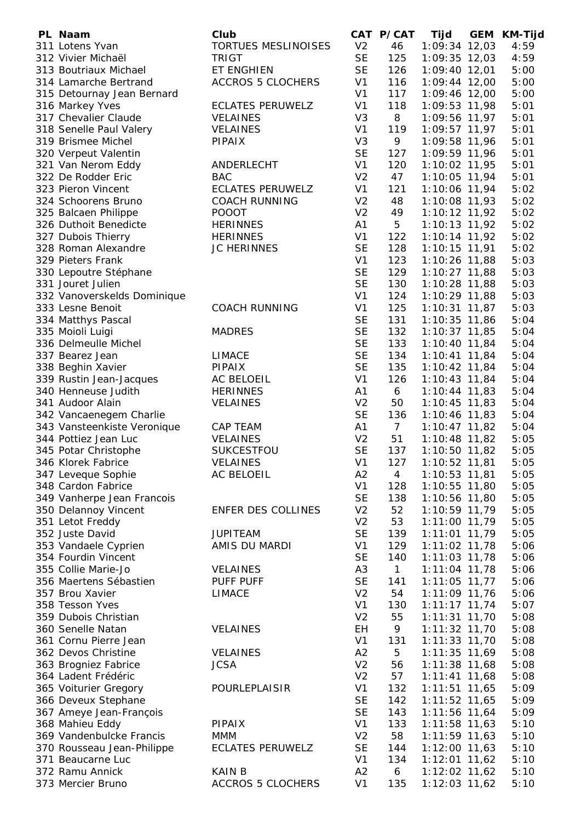| PL Naam                     | Club                       |                | CAT P/CAT      | Tijd            | <b>GEM</b> | <b>KM-Tijd</b> |
|-----------------------------|----------------------------|----------------|----------------|-----------------|------------|----------------|
| 311 Lotens Yvan             | <b>TORTUES MESLINOISES</b> | V <sub>2</sub> | 46             | $1:09:34$ 12,03 |            | 4:59           |
| 312 Vivier Michaël          | <b>TRIGT</b>               | <b>SE</b>      | 125            | $1:09:35$ 12,03 |            | 4:59           |
| 313 Boutriaux Michael       | ET ENGHIEN                 | <b>SE</b>      | 126            | $1:09:40$ 12,01 |            | 5:00           |
| 314 Lamarche Bertrand       | <b>ACCROS 5 CLOCHERS</b>   | V <sub>1</sub> | 116            | $1:09:44$ 12,00 |            | 5:00           |
| 315 Detournay Jean Bernard  |                            | V <sub>1</sub> | 117            | 1:09:46 12,00   |            | 5:00           |
| 316 Markey Yves             | <b>ECLATES PERUWELZ</b>    | V <sub>1</sub> | 118            | 1:09:53 11,98   |            | 5:01           |
| 317 Chevalier Claude        | <b>VELAINES</b>            | V <sub>3</sub> | 8              | 1:09:56 11,97   |            | 5:01           |
| 318 Senelle Paul Valery     | <b>VELAINES</b>            | V <sub>1</sub> | 119            | $1:09:57$ 11,97 |            | 5:01           |
| 319 Brismee Michel          | <b>PIPAIX</b>              | V <sub>3</sub> | 9              | 1:09:58 11,96   |            | 5:01           |
| 320 Verpeut Valentin        |                            | <b>SE</b>      | 127            | 1:09:59 11,96   |            | 5:01           |
| 321 Van Nerom Eddy          | ANDERLECHT                 | V <sub>1</sub> | 120            | 1:10:02 11,95   |            | 5:01           |
| 322 De Rodder Eric          | <b>BAC</b>                 | V <sub>2</sub> | 47             | 1:10:05 11,94   |            | 5:01           |
| 323 Pieron Vincent          | <b>ECLATES PERUWELZ</b>    | V <sub>1</sub> | 121            | 1:10:06 11,94   |            | 5:02           |
| 324 Schoorens Bruno         | <b>COACH RUNNING</b>       | V <sub>2</sub> | 48             | 1:10:08 11,93   |            | 5:02           |
| 325 Balcaen Philippe        | <b>POOOT</b>               | V <sub>2</sub> | 49             | 1:10:12 11,92   |            | 5:02           |
| 326 Duthoit Benedicte       | <b>HERINNES</b>            | A1             | 5              | $1:10:13$ 11,92 |            | 5:02           |
| 327 Dubois Thierry          | <b>HERINNES</b>            | V <sub>1</sub> | 122            | 1:10:14 11,92   |            | 5:02           |
| 328 Roman Alexandre         | <b>JC HERINNES</b>         | <b>SE</b>      | 128            | $1:10:15$ 11,91 |            | 5:02           |
| 329 Pieters Frank           |                            | V <sub>1</sub> | 123            | 1:10:26 11,88   |            | 5:03           |
| 330 Lepoutre Stéphane       |                            | <b>SE</b>      | 129            | $1:10:27$ 11,88 |            | 5:03           |
| 331 Jouret Julien           |                            | <b>SE</b>      | 130            | $1:10:28$ 11,88 |            | 5:03           |
| 332 Vanoverskelds Dominique |                            | V <sub>1</sub> | 124            | 1:10:29 11,88   |            | 5:03           |
| 333 Lesne Benoit            | <b>COACH RUNNING</b>       | V <sub>1</sub> | 125            | $1:10:31$ 11,87 |            | 5:03           |
| 334 Matthys Pascal          |                            | <b>SE</b>      | 131            | 1:10:35 11,86   |            | 5:04           |
| 335 Moioli Luigi            | <b>MADRES</b>              | <b>SE</b>      | 132            | $1:10:37$ 11,85 |            | 5:04           |
| 336 Delmeulle Michel        |                            | <b>SE</b>      | 133            | 1:10:40 11,84   |            | 5:04           |
| 337 Bearez Jean             | LIMACE                     | <b>SE</b>      | 134            | $1:10:41$ 11,84 |            | 5:04           |
| 338 Beghin Xavier           | PIPAIX                     | <b>SE</b>      | 135            | $1:10:42$ 11,84 |            | 5:04           |
| 339 Rustin Jean-Jacques     | AC BELOEIL                 | V <sub>1</sub> | 126            | $1:10:43$ 11,84 |            | 5:04           |
| 340 Henneuse Judith         | <b>HERINNES</b>            | A1             | 6              | $1:10:44$ 11,83 |            | 5:04           |
| 341 Audoor Alain            | <b>VELAINES</b>            | V <sub>2</sub> | 50             | $1:10:45$ 11,83 |            | 5:04           |
| 342 Vancaenegem Charlie     |                            | <b>SE</b>      | 136            | $1:10:46$ 11,83 |            | 5:04           |
| 343 Vansteenkiste Veronique | CAP TEAM                   | A1             | $\overline{7}$ | $1:10:47$ 11,82 |            | 5:04           |
| 344 Pottiez Jean Luc        | VELAINES                   | V <sub>2</sub> | 51             | $1:10:48$ 11,82 |            | 5:05           |
| 345 Potar Christophe        | SUKCESTFOU                 | <b>SE</b>      | 137            | 1:10:50 11,82   |            | 5:05           |
| 346 Klorek Fabrice          | <b>VELAINES</b>            | V <sub>1</sub> | 127            | 1:10:52 11,81   |            | 5:05           |
| 347 Leveque Sophie          | AC BELOEIL                 | A <sub>2</sub> | 4              | 1:10:53 11,81   |            | 5:05           |
| 348 Cardon Fabrice          |                            | V <sub>1</sub> | 128            | 1:10:55 11,80   |            | 5:05           |
| 349 Vanherpe Jean Francois  |                            | <b>SE</b>      | 138            | 1:10:56 11,80   |            | 5:05           |
| 350 Delannoy Vincent        | <b>ENFER DES COLLINES</b>  | V <sub>2</sub> | 52             | 1:10:59 11,79   |            | 5:05           |
| 351 Letot Freddy            |                            | V <sub>2</sub> | 53             | 1:11:00 11,79   |            | 5:05           |
| 352 Juste David             | <b>JUPITEAM</b>            | <b>SE</b>      | 139            | 1:11:01 11,79   |            | 5:05           |
| 353 Vandaele Cyprien        | AMIS DU MARDI              | V <sub>1</sub> | 129            | $1:11:02$ 11,78 |            | 5:06           |
| 354 Fourdin Vincent         |                            | <b>SE</b>      | 140            | $1:11:03$ 11,78 |            | 5:06           |
| 355 Collie Marie-Jo         | <b>VELAINES</b>            | A <sub>3</sub> | $\mathbf{1}$   | $1:11:04$ 11,78 |            | 5:06           |
| 356 Maertens Sébastien      | PUFF PUFF                  | <b>SE</b>      | 141            | $1:11:05$ 11,77 |            | 5:06           |
| 357 Brou Xavier             | <b>LIMACE</b>              | V <sub>2</sub> | 54             | 1:11:09 11,76   |            | 5:06           |
| 358 Tesson Yves             |                            | V <sub>1</sub> | 130            | $1:11:17$ 11,74 |            | 5:07           |
| 359 Dubois Christian        |                            | V <sub>2</sub> | 55             | $1:11:31$ 11,70 |            | 5:08           |
| 360 Senelle Natan           | <b>VELAINES</b>            | EH             | 9              | $1:11:32$ 11,70 |            | 5:08           |
| 361 Cornu Pierre Jean       |                            | V <sub>1</sub> | 131            | 1:11:33 11,70   |            | 5:08           |
| 362 Devos Christine         | <b>VELAINES</b>            | A2             | 5              | 1:11:35 11,69   |            | 5:08           |
| 363 Brogniez Fabrice        | <b>JCSA</b>                | V <sub>2</sub> | 56             | $1:11:38$ 11,68 |            | 5:08           |
| 364 Ladent Frédéric         |                            | V <sub>2</sub> | 57             | $1:11:41$ 11,68 |            | 5:08           |
| 365 Voiturier Gregory       | POURLEPLAISIR              | V <sub>1</sub> | 132            | $1:11:51$ 11,65 |            | 5:09           |
| 366 Deveux Stephane         |                            | <b>SE</b>      | 142            | 1:11:52 11,65   |            | 5:09           |
| 367 Ameye Jean-François     |                            | <b>SE</b>      | 143            | $1:11:56$ 11,64 |            | 5:09           |
| 368 Mahieu Eddy             | <b>PIPAIX</b>              | V <sub>1</sub> | 133            | $1:11:58$ 11,63 |            | 5:10           |
| 369 Vandenbulcke Francis    | <b>MMM</b>                 | V <sub>2</sub> | 58             | $1:11:59$ 11,63 |            | 5:10           |
| 370 Rousseau Jean-Philippe  | <b>ECLATES PERUWELZ</b>    | <b>SE</b>      | 144            | 1:12:00 11,63   |            | 5:10           |
| 371 Beaucarne Luc           |                            | V <sub>1</sub> | 134            | $1:12:01$ 11,62 |            | 5:10           |
| 372 Ramu Annick             | <b>KAIN B</b>              | A2             | 6              | 1:12:02 11,62   |            | 5:10           |
| 373 Mercier Bruno           | <b>ACCROS 5 CLOCHERS</b>   | V <sub>1</sub> | 135            | 1:12:03 11,62   |            | 5:10           |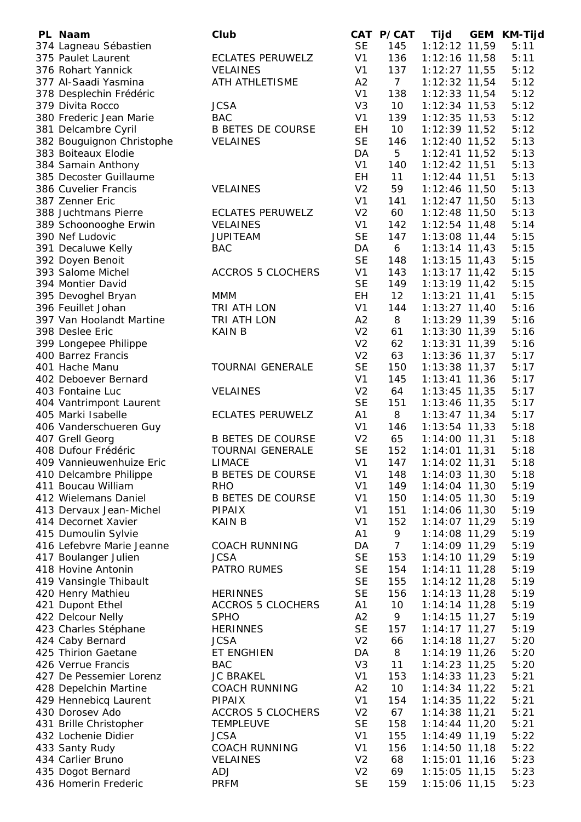| PL Naam                   | Club                     |                | CAT P/CAT       | Tijd            | <b>GEM</b> | <b>KM-Tijd</b> |
|---------------------------|--------------------------|----------------|-----------------|-----------------|------------|----------------|
| 374 Lagneau Sébastien     |                          | <b>SE</b>      | 145             | 1:12:12 11,59   |            | 5:11           |
| 375 Paulet Laurent        | <b>ECLATES PERUWELZ</b>  | V <sub>1</sub> | 136             | 1:12:16 11,58   |            | 5:11           |
| 376 Rohart Yannick        | <b>VELAINES</b>          | V <sub>1</sub> | 137             | $1:12:27$ 11,55 |            | 5:12           |
| 377 Al-Saadi Yasmina      | ATH ATHLETISME           | A2             | 7 <sup>7</sup>  | $1:12:32$ 11,54 |            | 5:12           |
| 378 Desplechin Frédéric   |                          | V <sub>1</sub> | 138             | $1:12:33$ 11,54 |            | 5:12           |
| 379 Divita Rocco          | <b>JCSA</b>              | V <sub>3</sub> | 10              | $1:12:34$ 11,53 |            | 5:12           |
| 380 Frederic Jean Marie   | <b>BAC</b>               | V <sub>1</sub> | 139             | $1:12:35$ 11,53 |            | 5:12           |
| 381 Delcambre Cyril       | <b>B BETES DE COURSE</b> | EH             | 10 <sup>°</sup> | 1:12:39 11,52   |            | 5:12           |
| 382 Bouguignon Christophe | <b>VELAINES</b>          | <b>SE</b>      | 146             | 1:12:40 11,52   |            | 5:13           |
| 383 Boiteaux Elodie       |                          | DA             | 5               | $1:12:41$ 11,52 |            | 5:13           |
| 384 Samain Anthony        |                          | V <sub>1</sub> | 140             | $1:12:42$ 11,51 |            | 5:13           |
| 385 Decoster Guillaume    |                          | EH             | 11              | $1:12:44$ 11,51 |            | 5:13           |
| 386 Cuvelier Francis      | <b>VELAINES</b>          | V <sub>2</sub> | 59              | 1:12:46 11,50   |            | 5:13           |
| 387 Zenner Eric           |                          | V <sub>1</sub> | 141             | $1:12:47$ 11,50 |            | 5:13           |
| 388 Juchtmans Pierre      | <b>ECLATES PERUWELZ</b>  | V <sub>2</sub> | 60              | $1:12:48$ 11,50 |            | 5:13           |
|                           |                          |                | 142             |                 |            |                |
| 389 Schoonooghe Erwin     | <b>VELAINES</b>          | V <sub>1</sub> |                 | $1:12:54$ 11,48 |            | 5:14           |
| 390 Nef Ludovic           | <b>JUPITEAM</b>          | <b>SE</b>      | 147             | $1:13:08$ 11,44 |            | 5:15           |
| 391 Decaluwe Kelly        | <b>BAC</b>               | DA             | 6               | $1:13:14$ 11,43 |            | 5:15           |
| 392 Doyen Benoit          |                          | <b>SE</b>      | 148             | $1:13:15$ 11,43 |            | 5:15           |
| 393 Salome Michel         | <b>ACCROS 5 CLOCHERS</b> | V <sub>1</sub> | 143             | $1:13:17$ 11,42 |            | 5:15           |
| 394 Montier David         |                          | <b>SE</b>      | 149             | $1:13:19$ 11,42 |            | 5:15           |
| 395 Devoghel Bryan        | MMM                      | EH             | 12              | $1:13:21$ 11,41 |            | 5:15           |
| 396 Feuillet Johan        | TRI ATH LON              | V <sub>1</sub> | 144             | $1:13:27$ 11,40 |            | 5:16           |
| 397 Van Hoolandt Martine  | TRI ATH LON              | A <sub>2</sub> | 8               | $1:13:29$ 11,39 |            | 5:16           |
| 398 Deslee Eric           | <b>KAIN B</b>            | V <sub>2</sub> | 61              | $1:13:30$ 11,39 |            | 5:16           |
| 399 Longepee Philippe     |                          | V <sub>2</sub> | 62              | $1:13:31$ 11,39 |            | 5:16           |
| 400 Barrez Francis        |                          | V <sub>2</sub> | 63              | $1:13:36$ 11,37 |            | 5:17           |
| 401 Hache Manu            | <b>TOURNAI GENERALE</b>  | <b>SE</b>      | 150             | $1:13:38$ 11,37 |            | 5:17           |
| 402 Deboever Bernard      |                          | V <sub>1</sub> | 145             | $1:13:41$ 11,36 |            | 5:17           |
| 403 Fontaine Luc          | <b>VELAINES</b>          | V <sub>2</sub> | 64              | $1:13:45$ 11,35 |            | 5:17           |
| 404 Vantrimpont Laurent   |                          | <b>SE</b>      | 151             | $1:13:46$ 11,35 |            | 5:17           |
| 405 Marki Isabelle        | <b>ECLATES PERUWELZ</b>  | A1             | 8               | $1:13:47$ 11,34 |            | 5:17           |
| 406 Vanderschueren Guy    |                          | V <sub>1</sub> | 146             | $1:13:54$ 11,33 |            | 5:18           |
| 407 Grell Georg           | <b>B BETES DE COURSE</b> | V <sub>2</sub> | 65              | $1:14:00$ 11,31 |            | 5:18           |
| 408 Dufour Frédéric       | <b>TOURNAI GENERALE</b>  | <b>SE</b>      | 152             | $1:14:01$ 11,31 |            | 5:18           |
| 409 Vannieuwenhuize Eric  | <b>LIMACE</b>            | V <sub>1</sub> | 147             | $1:14:02$ 11,31 |            | 5:18           |
| 410 Delcambre Philippe    | <b>B BETES DE COURSE</b> | V <sub>1</sub> | 148             | $1:14:03$ 11,30 |            | 5:18           |
| 411 Boucau William        | <b>RHO</b>               | V <sub>1</sub> | 149             | 1:14:04 11,30   |            | 5:19           |
| 412 Wielemans Daniel      | <b>B BETES DE COURSE</b> | V <sub>1</sub> | 150             | $1:14:05$ 11,30 |            | 5:19           |
| 413 Dervaux Jean-Michel   | <b>PIPAIX</b>            | V <sub>1</sub> | 151             | 1:14:06 11,30   |            | 5:19           |
| 414 Decornet Xavier       | <b>KAIN B</b>            | V <sub>1</sub> | 152             | $1:14:07$ 11,29 |            | 5:19           |
| 415 Dumoulin Sylvie       |                          | A1             | 9               | 1:14:08 11,29   |            | 5:19           |
| 416 Lefebvre Marie Jeanne | <b>COACH RUNNING</b>     | DA             | $\overline{7}$  | 1:14:09 11,29   |            | 5:19           |
| 417 Boulanger Julien      | <b>JCSA</b>              | <b>SE</b>      | 153             | 1:14:10 11,29   |            | 5:19           |
| 418 Hovine Antonin        | PATRO RUMES              | <b>SE</b>      | 154             | $1:14:11$ 11,28 |            | 5:19           |
| 419 Vansingle Thibault    |                          | <b>SE</b>      | 155             | $1:14:12$ 11,28 |            | 5:19           |
|                           |                          | <b>SE</b>      |                 |                 |            |                |
| 420 Henry Mathieu         | <b>HERINNES</b>          |                | 156             | $1:14:13$ 11,28 |            | 5:19           |
| 421 Dupont Ethel          | <b>ACCROS 5 CLOCHERS</b> | A1             | 10              | $1:14:14$ 11,28 |            | 5:19           |
| 422 Delcour Nelly         | <b>SPHO</b>              | A2             | 9               | $1:14:15$ 11,27 |            | 5:19           |
| 423 Charles Stéphane      | <b>HERINNES</b>          | <b>SE</b>      | 157             | $1:14:17$ 11,27 |            | 5:19           |
| 424 Caby Bernard          | <b>JCSA</b>              | V <sub>2</sub> | 66              | $1:14:18$ 11,27 |            | 5:20           |
| 425 Thirion Gaetane       | ET ENGHIEN               | DA             | 8               | $1:14:19$ 11,26 |            | 5:20           |
| 426 Verrue Francis        | <b>BAC</b>               | V <sub>3</sub> | 11              | $1:14:23$ 11,25 |            | 5:20           |
| 427 De Pessemier Lorenz   | <b>JC BRAKEL</b>         | V <sub>1</sub> | 153             | $1:14:33$ 11,23 |            | 5:21           |
| 428 Depelchin Martine     | <b>COACH RUNNING</b>     | A2             | 10              | $1:14:34$ 11,22 |            | 5:21           |
| 429 Hennebicq Laurent     | <b>PIPAIX</b>            | V <sub>1</sub> | 154             | $1:14:35$ 11,22 |            | 5:21           |
| 430 Dorosev Ado           | <b>ACCROS 5 CLOCHERS</b> | V <sub>2</sub> | 67              | $1:14:38$ 11,21 |            | 5:21           |
| 431 Brille Christopher    | <b>TEMPLEUVE</b>         | <b>SE</b>      | 158             | $1:14:44$ 11,20 |            | 5:21           |
| 432 Lochenie Didier       | <b>JCSA</b>              | V <sub>1</sub> | 155             | $1:14:49$ 11,19 |            | 5:22           |
| 433 Santy Rudy            | <b>COACH RUNNING</b>     | V <sub>1</sub> | 156             | $1:14:50$ 11,18 |            | 5:22           |
| 434 Carlier Bruno         | <b>VELAINES</b>          | V <sub>2</sub> | 68              | $1:15:01$ 11,16 |            | 5:23           |
| 435 Dogot Bernard         | ADJ                      | V <sub>2</sub> | 69              | 1:15:05 11,15   |            | 5:23           |
| 436 Homerin Frederic      | <b>PRFM</b>              | <b>SE</b>      | 159             | 1:15:06 11,15   |            | 5:23           |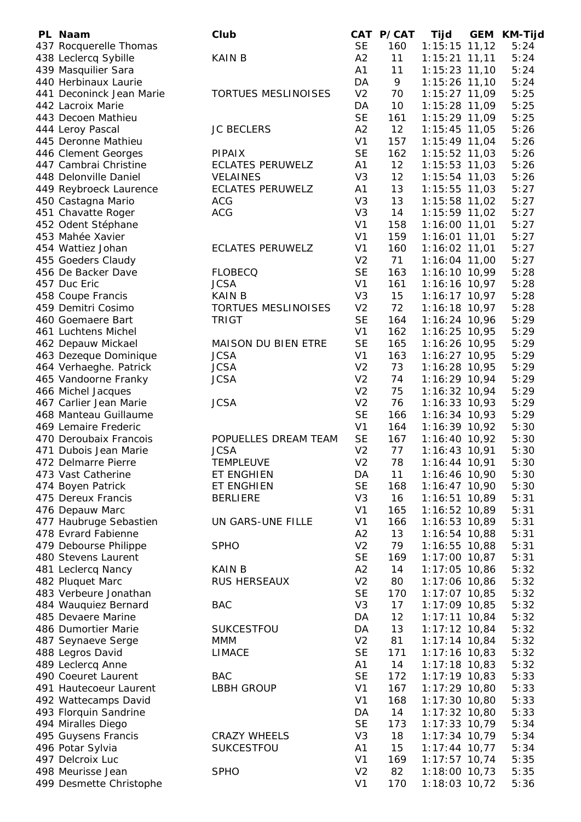| PL Naam                                         | Club                       |                             | CAT P/CAT  | Tijd                             | GEM | KM-Tijd      |
|-------------------------------------------------|----------------------------|-----------------------------|------------|----------------------------------|-----|--------------|
| 437 Rocquerelle Thomas                          |                            | <b>SE</b>                   | 160        | $1:15:15$ 11,12                  |     | 5:24         |
| 438 Leclercq Sybille                            | <b>KAIN B</b>              | A2                          | 11         | $1:15:21$ 11,11                  |     | 5:24         |
| 439 Masquilier Sara                             |                            | A1                          | 11         | $1:15:23$ 11,10                  |     | 5:24         |
| 440 Herbinaux Laurie                            |                            | DA                          | 9          | 1:15:26 11,10                    |     | 5:24         |
| 441 Deconinck Jean Marie                        | <b>TORTUES MESLINOISES</b> | V <sub>2</sub>              | 70         | 1:15:27 11,09                    |     | 5:25         |
| 442 Lacroix Marie                               |                            | DA                          | 10         | 1:15:28 11,09                    |     | 5:25         |
| 443 Decoen Mathieu                              |                            | <b>SE</b>                   | 161        | 1:15:29 11,09                    |     | 5:25         |
| 444 Leroy Pascal                                | <b>JC BECLERS</b>          | A2                          | 12         | $1:15:45$ 11,05                  |     | 5:26         |
| 445 Deronne Mathieu                             |                            | V <sub>1</sub>              | 157        | 1:15:49 11,04                    |     | 5:26         |
| 446 Clement Georges                             | <b>PIPAIX</b>              | <b>SE</b>                   | 162        | $1:15:52$ 11,03                  |     | 5:26         |
| 447 Cambrai Christine                           | <b>ECLATES PERUWELZ</b>    | A1                          | 12         | 1:15:53 11,03                    |     | 5:26         |
| 448 Delonville Daniel                           | <b>VELAINES</b>            | V <sub>3</sub>              | 12         | $1:15:54$ 11,03                  |     | 5:26         |
| 449 Reybroeck Laurence                          | <b>ECLATES PERUWELZ</b>    | A1                          | 13         | 1:15:55 11,03                    |     | 5:27         |
| 450 Castagna Mario                              | <b>ACG</b>                 | V <sub>3</sub>              | 13         | 1:15:58 11,02                    |     | 5:27         |
| 451 Chavatte Roger                              | <b>ACG</b>                 | V <sub>3</sub>              | 14         | 1:15:59 11,02                    |     | 5:27         |
| 452 Odent Stéphane                              |                            | V <sub>1</sub>              | 158        | $1:16:00$ 11,01                  |     | 5:27         |
| 453 Mahée Xavier                                |                            | V <sub>1</sub>              | 159        | $1:16:01$ 11,01                  |     | 5:27         |
| 454 Wattiez Johan                               | <b>ECLATES PERUWELZ</b>    | V <sub>1</sub>              | 160        | $1:16:02$ 11,01                  |     | 5:27         |
| 455 Goeders Claudy                              |                            | V <sub>2</sub>              | 71         | 1:16:04 11,00                    |     | 5:27         |
| 456 De Backer Dave                              | <b>FLOBECQ</b>             | <b>SE</b>                   | 163        | 1:16:10 10,99                    |     | 5:28         |
| 457 Duc Eric                                    | <b>JCSA</b>                | V <sub>1</sub>              | 161        | $1:16:16$ 10,97                  |     | 5:28         |
| 458 Coupe Francis                               | <b>KAIN B</b>              | V <sub>3</sub>              | 15         | $1:16:17$ 10,97                  |     | 5:28         |
| 459 Demitri Cosimo                              | <b>TORTUES MESLINOISES</b> | V <sub>2</sub>              | 72         | $1:16:18$ 10,97                  |     | 5:28         |
| 460 Goemaere Bart                               | <b>TRIGT</b>               | <b>SE</b>                   | 164        | 1:16:24 10,96                    |     | 5:29         |
| 461 Luchtens Michel                             | <b>MAISON DU BIEN ETRE</b> | V <sub>1</sub><br><b>SE</b> | 162<br>165 | 1:16:25 10,95                    |     | 5:29<br>5:29 |
| 462 Depauw Mickael                              | <b>JCSA</b>                | V <sub>1</sub>              | 163        | 1:16:26 10,95<br>$1:16:27$ 10,95 |     | 5:29         |
| 463 Dezeque Dominique<br>464 Verhaeghe. Patrick | <b>JCSA</b>                | V <sub>2</sub>              | 73         | $1:16:28$ 10,95                  |     | 5:29         |
| 465 Vandoorne Franky                            | <b>JCSA</b>                | V <sub>2</sub>              | 74         | 1:16:29 10,94                    |     | 5:29         |
| 466 Michel Jacques                              |                            | V <sub>2</sub>              | 75         | $1:16:32$ 10,94                  |     | 5:29         |
| 467 Carlier Jean Marie                          | <b>JCSA</b>                | V <sub>2</sub>              | 76         | $1:16:33$ 10,93                  |     | 5:29         |
| 468 Manteau Guillaume                           |                            | <b>SE</b>                   | 166        | $1:16:34$ 10,93                  |     | 5:29         |
| 469 Lemaire Frederic                            |                            | V <sub>1</sub>              | 164        | 1:16:39 10,92                    |     | 5:30         |
| 470 Deroubaix Francois                          | POPUELLES DREAM TEAM       | <b>SE</b>                   | 167        | 1:16:40 10,92                    |     | 5:30         |
| 471 Dubois Jean Marie                           | <b>JCSA</b>                | V <sub>2</sub>              | 77         | $1:16:43$ 10,91                  |     | 5:30         |
| 472 Delmarre Pierre                             | <b>TEMPLEUVE</b>           | V <sub>2</sub>              | 78         | $1:16:44$ 10,91                  |     | 5:30         |
| 473 Vast Catherine                              | ET ENGHIEN                 | DA                          | 11         | 1:16:46 10,90                    |     | 5:30         |
| 474 Boyen Patrick                               | ET ENGHIEN                 | <b>SE</b>                   | 168        | $1:16:47$ 10,90                  |     | 5:30         |
| 475 Dereux Francis                              | <b>BERLIERE</b>            | V <sub>3</sub>              | 16         | 1:16:51 10,89                    |     | 5:31         |
| 476 Depauw Marc                                 |                            | V <sub>1</sub>              | 165        | 1:16:52 10,89                    |     | 5:31         |
| 477 Haubruge Sebastien                          | UN GARS-UNE FILLE          | V <sub>1</sub>              | 166        | 1:16:53 10,89                    |     | 5:31         |
| 478 Evrard Fabienne                             |                            | A2                          | 13         | 1:16:54 10,88                    |     | 5:31         |
| 479 Debourse Philippe                           | <b>SPHO</b>                | V <sub>2</sub>              | 79         | $1:16:55$ 10,88                  |     | 5:31         |
| 480 Stevens Laurent                             |                            | <b>SE</b>                   | 169        | $1:17:00$ 10,87                  |     | 5:31         |
| 481 Leclercq Nancy                              | <b>KAIN B</b>              | A2                          | 14         | 1:17:05 10,86                    |     | 5:32         |
| 482 Pluquet Marc                                | RUS HERSEAUX               | V <sub>2</sub>              | 80         | 1:17:06 10,86                    |     | 5:32         |
| 483 Verbeure Jonathan                           |                            | <b>SE</b>                   | 170        | $1:17:07$ 10,85                  |     | 5:32         |
| 484 Wauquiez Bernard                            | <b>BAC</b>                 | V <sub>3</sub>              | 17         | 1:17:09 10,85                    |     | 5:32         |
| 485 Devaere Marine                              |                            | DA                          | 12         | $1:17:11$ 10,84                  |     | 5:32         |
| 486 Dumortier Marie                             | <b>SUKCESTFOU</b>          | DA                          | 13         | $1:17:12$ 10,84                  |     | 5:32         |
| 487 Seynaeve Serge                              | MMM                        | V <sub>2</sub>              | 81         | $1:17:14$ 10,84                  |     | 5:32         |
| 488 Legros David                                | <b>LIMACE</b>              | <b>SE</b>                   | 171        | $1:17:16$ 10,83                  |     | 5:32         |
| 489 Leclercq Anne                               |                            | A1                          | 14         | $1:17:18$ 10,83                  |     | 5:32         |
| 490 Coeuret Laurent                             | <b>BAC</b>                 | <b>SE</b>                   | 172        | $1:17:19$ 10,83                  |     | 5:33         |
| 491 Hautecoeur Laurent                          | <b>LBBH GROUP</b>          | V <sub>1</sub>              | 167        | $1:17:29$ 10,80                  |     | 5:33         |
| 492 Wattecamps David                            |                            | V <sub>1</sub>              | 168        | $1:17:30$ 10,80                  |     | 5:33         |
| 493 Florquin Sandrine                           |                            | DA                          | 14         | $1:17:32$ 10,80                  |     | 5:33         |
| 494 Miralles Diego                              |                            | <b>SE</b>                   | 173        | 1:17:33 10,79                    |     | 5:34         |
| 495 Guysens Francis                             | <b>CRAZY WHEELS</b>        | V <sub>3</sub>              | 18         | $1:17:34$ 10,79                  |     | 5:34         |
| 496 Potar Sylvia                                | SUKCESTFOU                 | A1                          | 15         | $1:17:44$ 10,77                  |     | 5:34         |
| 497 Delcroix Luc                                |                            | V <sub>1</sub>              | 169        | $1:17:57$ 10,74                  |     | 5:35         |
| 498 Meurisse Jean                               | <b>SPHO</b>                | V <sub>2</sub>              | 82         | 1:18:00 10,73                    |     | 5:35         |
| 499 Desmette Christophe                         |                            | V <sub>1</sub>              | 170        | 1:18:03 10,72                    |     | 5:36         |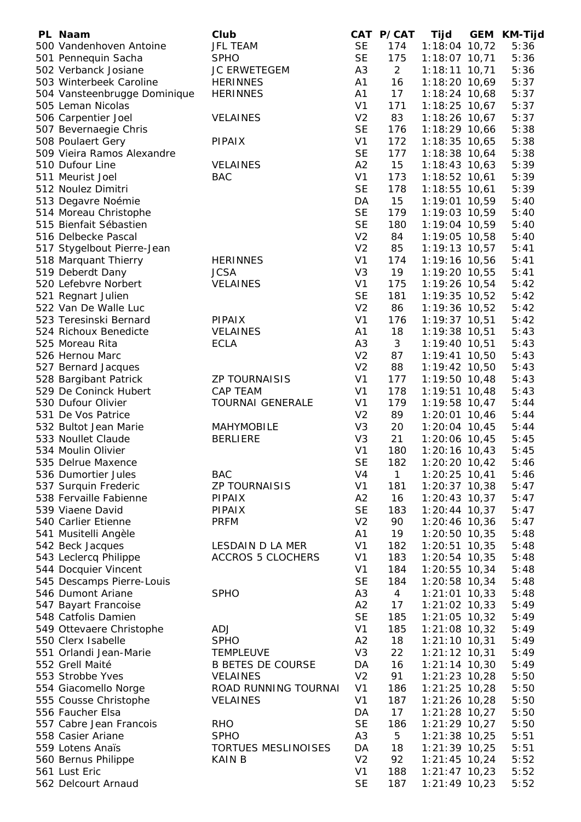| PL Naam                      | Club                       |                | CAT P/CAT      | Tijd                           | <b>GEM</b> | <b>KM-Tijd</b> |
|------------------------------|----------------------------|----------------|----------------|--------------------------------|------------|----------------|
| 500 Vandenhoven Antoine      | <b>JFL TEAM</b>            | <b>SE</b>      | 174            | 1:18:04 10,72                  |            | 5:36           |
| 501 Pennequin Sacha          | <b>SPHO</b>                | <b>SE</b>      | 175            | 1:18:07 10,71                  |            | 5:36           |
| 502 Verbanck Josiane         | JC ERWETEGEM               | A <sub>3</sub> | $\overline{2}$ | $1:18:11$ 10,71                |            | 5:36           |
| 503 Winterbeek Caroline      | <b>HERINNES</b>            | A1             | 16             | 1:18:20 10,69                  |            | 5:37           |
| 504 Vansteenbrugge Dominique | <b>HERINNES</b>            | A1             | 17             | 1:18:24 10,68                  |            | 5:37           |
| 505 Leman Nicolas            |                            | V <sub>1</sub> | 171            | $1:18:25$ 10,67                |            | 5:37           |
| 506 Carpentier Joel          | <b>VELAINES</b>            | V <sub>2</sub> | 83             | 1:18:26 10,67                  |            | 5:37           |
| 507 Bevernaegie Chris        |                            | <b>SE</b>      | 176            | 1:18:29 10,66                  |            | 5:38           |
| 508 Poulaert Gery            | PIPAIX                     | V <sub>1</sub> | 172            | 1:18:35 10,65                  |            | 5:38           |
| 509 Vieira Ramos Alexandre   |                            | <b>SE</b>      | 177            | 1:18:38 10,64                  |            | 5:38           |
| 510 Dufour Line              | <b>VELAINES</b>            | A2             | 15             | $1:18:43$ 10,63                |            | 5:39           |
| 511 Meurist Joel             | <b>BAC</b>                 | V <sub>1</sub> | 173            | $1:18:52$ 10,61                |            | 5:39           |
| 512 Noulez Dimitri           |                            | <b>SE</b>      | 178            | $1:18:55$ 10,61                |            | 5:39           |
| 513 Degavre Noémie           |                            | DA             | 15             | 1:19:01 10,59                  |            | 5:40           |
| 514 Moreau Christophe        |                            | <b>SE</b>      | 179            | 1:19:03 10,59                  |            | 5:40           |
| 515 Bienfait Sébastien       |                            | <b>SE</b>      | 180            | 1:19:04 10,59                  |            | 5:40           |
| 516 Delbecke Pascal          |                            | V <sub>2</sub> | 84             | 1:19:05 10,58                  |            | 5:40           |
| 517 Stygelbout Pierre-Jean   |                            | V <sub>2</sub> | 85             | $1:19:13$ 10,57                |            | 5:41           |
| 518 Marquant Thierry         | <b>HERINNES</b>            | V <sub>1</sub> | 174            | 1:19:16 10,56                  |            | 5:41           |
| 519 Deberdt Dany             | <b>JCSA</b>                | V <sub>3</sub> | 19             | 1:19:20 10,55                  |            | 5:41           |
| 520 Lefebvre Norbert         | <b>VELAINES</b>            | V <sub>1</sub> | 175            |                                |            | 5:42           |
|                              |                            | <b>SE</b>      | 181            | 1:19:26 10,54<br>1:19:35 10,52 |            |                |
| 521 Regnart Julien           |                            |                |                |                                |            | 5:42           |
| 522 Van De Walle Luc         |                            | V <sub>2</sub> | 86             | 1:19:36 10,52                  |            | 5:42           |
| 523 Teresinski Bernard       | <b>PIPAIX</b>              | V <sub>1</sub> | 176            | $1:19:37$ 10,51                |            | 5:42           |
| 524 Richoux Benedicte        | <b>VELAINES</b>            | A1             | 18             | $1:19:38$ 10,51                |            | 5:43           |
| 525 Moreau Rita              | <b>ECLA</b>                | A3             | 3              | $1:19:40$ 10,51                |            | 5:43           |
| 526 Hernou Marc              |                            | V <sub>2</sub> | 87             | $1:19:41$ 10,50                |            | 5:43           |
| 527 Bernard Jacques          |                            | V <sub>2</sub> | 88             | 1:19:42 10,50                  |            | 5:43           |
| 528 Bargibant Patrick        | <b>ZP TOURNAISIS</b>       | V <sub>1</sub> | 177            | $1:19:50$ 10,48                |            | 5:43           |
| 529 De Coninck Hubert        | <b>CAP TEAM</b>            | V <sub>1</sub> | 178            | $1:19:51$ 10,48                |            | 5:43           |
| 530 Dufour Olivier           | <b>TOURNAI GENERALE</b>    | V <sub>1</sub> | 179            | $1:19:58$ 10,47                |            | 5:44           |
| 531 De Vos Patrice           |                            | V <sub>2</sub> | 89             | $1:20:01$ 10,46                |            | 5:44           |
| 532 Bultot Jean Marie        | <b>MAHYMOBILE</b>          | V <sub>3</sub> | 20             | $1:20:04$ 10,45                |            | 5:44           |
| 533 Noullet Claude           | <b>BERLIERE</b>            | V <sub>3</sub> | 21             | 1:20:06 10,45                  |            | 5:45           |
| 534 Moulin Olivier           |                            | V <sub>1</sub> | 180            | $1:20:16$ 10,43                |            | 5:45           |
| 535 Delrue Maxence           |                            | <b>SE</b>      | 182            | $1:20:20$ 10,42                |            | 5:46           |
| 536 Dumortier Jules          | <b>BAC</b>                 | V4             | $\mathbf{1}$   | 1:20:25 10,41                  |            | 5:46           |
| 537 Surquin Frederic         | <b>ZP TOURNAISIS</b>       | V <sub>1</sub> | 181            | 1:20:37 10,38                  |            | 5:47           |
| 538 Fervaille Fabienne       | PIPAIX                     | A2             | 16             | $1:20:43$ 10,37                |            | 5:47           |
| 539 Viaene David             | <b>PIPAIX</b>              | <b>SE</b>      | 183            | $1:20:44$ 10,37                |            | 5:47           |
| 540 Carlier Etienne          | <b>PRFM</b>                | V <sub>2</sub> | 90             | 1:20:46 10,36                  |            | 5:47           |
| 541 Musitelli Angèle         |                            | A1             | 19             | 1:20:50 10,35                  |            | 5:48           |
| 542 Beck Jacques             | <b>LESDAIN D LA MER</b>    | V <sub>1</sub> | 182            | $1:20:51$ 10,35                |            | 5:48           |
| 543 Leclercq Philippe        | <b>ACCROS 5 CLOCHERS</b>   | V <sub>1</sub> | 183            | 1:20:54 10,35                  |            | 5:48           |
| 544 Docquier Vincent         |                            | V <sub>1</sub> | 184            | $1:20:55$ 10,34                |            | 5:48           |
| 545 Descamps Pierre-Louis    |                            | <b>SE</b>      | 184            | 1:20:58 10,34                  |            | 5:48           |
| 546 Dumont Ariane            | <b>SPHO</b>                | A <sub>3</sub> | $\overline{4}$ | $1:21:01$ 10,33                |            | 5:48           |
| 547 Bayart Francoise         |                            | A2             | 17             | $1:21:02$ 10,33                |            | 5:49           |
| 548 Catfolis Damien          |                            | <b>SE</b>      | 185            | $1:21:05$ 10,32                |            | 5:49           |
| 549 Ottevaere Christophe     | ADJ                        | V <sub>1</sub> | 185            | 1:21:08 10,32                  |            | 5:49           |
| 550 Clerx Isabelle           | <b>SPHO</b>                | A2             | 18             | $1:21:10$ 10,31                |            | 5:49           |
| 551 Orlandi Jean-Marie       | <b>TEMPLEUVE</b>           | V <sub>3</sub> | 22             | $1:21:12$ 10,31                |            | 5:49           |
| 552 Grell Maité              | <b>B BETES DE COURSE</b>   | DA             | 16             | $1:21:14$ 10,30                |            | 5:49           |
| 553 Strobbe Yves             | <b>VELAINES</b>            | V <sub>2</sub> | 91             | $1:21:23$ 10,28                |            | 5:50           |
| 554 Giacomello Norge         | ROAD RUNNING TOURNAI       | V <sub>1</sub> | 186            | $1:21:25$ 10,28                |            | 5:50           |
| 555 Cousse Christophe        | <b>VELAINES</b>            | V <sub>1</sub> | 187            | 1:21:26 10,28                  |            | 5:50           |
| 556 Faucher Elsa             |                            | DA             | 17             | $1:21:28$ 10,27                |            | 5:50           |
| 557 Cabre Jean Francois      | <b>RHO</b>                 | <b>SE</b>      | 186            | $1:21:29$ 10,27                |            | 5:50           |
| 558 Casier Ariane            | <b>SPHO</b>                | A <sub>3</sub> | 5              | $1:21:38$ 10,25                |            | 5:51           |
| 559 Lotens Anaïs             | <b>TORTUES MESLINOISES</b> | DA             | 18             | $1:21:39$ 10,25                |            | 5:51           |
| 560 Bernus Philippe          | <b>KAIN B</b>              | V <sub>2</sub> | 92             | $1:21:45$ 10,24                |            | 5:52           |
| 561 Lust Eric                |                            | V <sub>1</sub> | 188            | $1:21:47$ 10,23                |            | 5:52           |
| 562 Delcourt Arnaud          |                            | <b>SE</b>      | 187            | $1:21:49$ 10,23                |            | 5:52           |
|                              |                            |                |                |                                |            |                |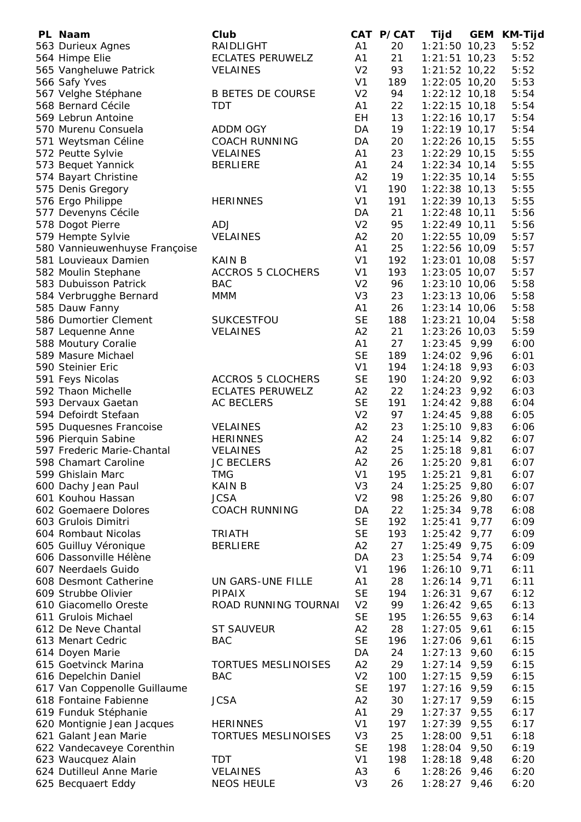| PL Naam                                        | Club                                 |                                  | CAT P/CAT | Tijd                              | <b>GEM</b> | <b>KM-Tijd</b> |
|------------------------------------------------|--------------------------------------|----------------------------------|-----------|-----------------------------------|------------|----------------|
| 563 Durieux Agnes                              | RAIDLIGHT                            | A1                               | 20        | $1:21:50$ 10,23                   |            | 5:52           |
| 564 Himpe Elie                                 | <b>ECLATES PERUWELZ</b>              | A1                               | 21        | $1:21:51$ 10,23                   |            | 5:52           |
| 565 Vangheluwe Patrick                         | <b>VELAINES</b>                      | V <sub>2</sub>                   | 93        | $1:21:52$ 10,22                   |            | 5:52           |
| 566 Safy Yves                                  |                                      | V <sub>1</sub>                   | 189       | $1:22:05$ 10,20                   |            | 5:53           |
| 567 Velghe Stéphane                            | <b>B BETES DE COURSE</b>             | V <sub>2</sub>                   | 94        | $1:22:12$ 10,18                   |            | 5:54           |
| 568 Bernard Cécile                             | <b>TDT</b>                           | A1                               | 22        | $1:22:15$ 10,18                   |            | 5:54           |
| 569 Lebrun Antoine                             |                                      | EH                               | 13        | $1:22:16$ 10,17                   |            | 5:54           |
| 570 Murenu Consuela                            | <b>ADDM OGY</b>                      | DA                               | 19        | $1:22:19$ 10,17                   |            | 5:54           |
| 571 Weytsman Céline                            | <b>COACH RUNNING</b>                 | DA                               | 20        | 1:22:26 10,15                     |            | 5:55           |
| 572 Peutte Sylvie                              | <b>VELAINES</b>                      | A1                               | 23        | $1:22:29$ 10,15                   |            | 5:55           |
| 573 Bequet Yannick                             | <b>BERLIERE</b>                      | A1                               | 24        | $1:22:34$ 10,14                   |            | 5:55           |
| 574 Bayart Christine                           |                                      | A2                               | 19        | $1:22:35$ 10,14                   |            | 5:55           |
| 575 Denis Gregory                              |                                      | V <sub>1</sub>                   | 190       | $1:22:38$ 10,13                   |            | 5:55           |
| 576 Ergo Philippe                              | <b>HERINNES</b>                      | V <sub>1</sub>                   | 191       | $1:22:39$ 10,13                   |            | 5:55           |
| 577 Devenyns Cécile                            |                                      | DA                               | 21        | $1:22:48$ 10,11                   |            | 5:56           |
| 578 Dogot Pierre                               | ADJ                                  | V <sub>2</sub>                   | 95        | $1:22:49$ 10,11                   |            | 5:56           |
| 579 Hempte Sylvie                              | <b>VELAINES</b>                      | A2                               | 20        | 1:22:55 10,09                     |            | 5:57           |
| 580 Vannieuwenhuyse Françoise                  |                                      | A1                               | 25        | 1:22:56 10,09                     |            | 5:57           |
| 581 Louvieaux Damien                           | <b>KAIN B</b>                        | V <sub>1</sub>                   | 192       | $1:23:01$ 10,08                   |            | 5:57           |
| 582 Moulin Stephane                            | <b>ACCROS 5 CLOCHERS</b>             | V <sub>1</sub>                   | 193       | $1:23:05$ 10,07                   |            | 5:57           |
| 583 Dubuisson Patrick                          | <b>BAC</b>                           | V <sub>2</sub>                   | 96        | $1:23:10$ 10,06                   |            | 5:58           |
| 584 Verbrugghe Bernard                         | <b>MMM</b>                           | V <sub>3</sub>                   | 23        | $1:23:13$ 10,06                   |            | 5:58           |
| 585 Dauw Fanny                                 |                                      | A1<br><b>SE</b>                  | 26        | $1:23:14$ 10,06                   |            | 5:58           |
| 586 Dumortier Clement                          | <b>SUKCESTFOU</b>                    | A2                               | 188       | $1:23:21$ 10,04                   |            | 5:58           |
| 587 Lequenne Anne                              | <b>VELAINES</b>                      | A1                               | 21<br>27  | $1:23:26$ 10,03<br>$1:23:45$ 9,99 |            | 5:59<br>6:00   |
| 588 Moutury Coralie<br>589 Masure Michael      |                                      | <b>SE</b>                        | 189       | $1:24:02$ 9,96                    |            | 6:01           |
| 590 Steinier Eric                              |                                      | V <sub>1</sub>                   | 194       | $1:24:18$ 9,93                    |            | 6:03           |
| 591 Feys Nicolas                               | <b>ACCROS 5 CLOCHERS</b>             | <b>SE</b>                        | 190       | $1:24:20$ 9,92                    |            | 6:03           |
| 592 Thaon Michelle                             | <b>ECLATES PERUWELZ</b>              | A2                               | 22        | 1:24:23                           | 9,92       | 6:03           |
| 593 Dervaux Gaetan                             | <b>AC BECLERS</b>                    | <b>SE</b>                        | 191       | 1:24:42                           | 9,88       | 6:04           |
| 594 Defoirdt Stefaan                           |                                      | V <sub>2</sub>                   | 97        | 1:24:45                           | 9,88       | 6:05           |
| 595 Duquesnes Francoise                        | <b>VELAINES</b>                      | A2                               | 23        | 1:25:10                           | 9,83       | 6:06           |
| 596 Pierquin Sabine                            | <b>HERINNES</b>                      | A2                               | 24        | 1:25:14                           | 9,82       | 6:07           |
| 597 Frederic Marie-Chantal                     | <b>VELAINES</b>                      | A2                               | 25        | $1:25:18$ 9,81                    |            | 6:07           |
| 598 Chamart Caroline                           | <b>JC BECLERS</b>                    | A <sub>2</sub>                   | 26        | $1:25:20$ 9,81                    |            | 6:07           |
| 599 Ghislain Marc                              | <b>TMG</b>                           | V <sub>1</sub>                   | 195       | 1:25:21                           | 9,81       | 6:07           |
| 600 Dachy Jean Paul                            | <b>KAIN B</b>                        | V <sub>3</sub>                   | 24        | 1:25:25                           | 9,80       | 6:07           |
| 601 Kouhou Hassan                              | <b>JCSA</b>                          | V <sub>2</sub>                   | 98        | 1:25:26                           | 9,80       | 6:07           |
| 602 Goemaere Dolores                           | <b>COACH RUNNING</b>                 | DA                               | 22        | 1:25:34                           | 9,78       | 6:08           |
| 603 Grulois Dimitri                            |                                      | <b>SE</b>                        | 192       | 1:25:41                           | 9,77       | 6:09           |
| 604 Rombaut Nicolas                            | <b>TRIATH</b>                        | <b>SE</b>                        | 193       | 1:25:42                           | 9,77       | 6:09           |
| 605 Guilluy Véronique                          | <b>BERLIERE</b>                      | A2                               | 27        | 1:25:49                           | 9,75       | 6:09           |
| 606 Dassonville Hélène                         |                                      | DA                               | 23        | 1:25:54                           | 9,74       | 6:09           |
| 607 Neerdaels Guido                            |                                      | V <sub>1</sub>                   | 196       | 1:26:10                           | 9,71       | 6:11           |
| 608 Desmont Catherine                          | UN GARS-UNE FILLE                    | A1                               | 28        | 1:26:14                           | 9,71       | 6:11           |
| 609 Strubbe Olivier                            | <b>PIPAIX</b>                        | <b>SE</b>                        | 194       | 1:26:31                           | 9,67       | 6:12           |
| 610 Giacomello Oreste                          | ROAD RUNNING TOURNAI                 | V <sub>2</sub>                   | 99        | 1:26:42                           | 9,65       | 6:13           |
| 611 Grulois Michael                            |                                      | <b>SE</b>                        | 195       | 1:26:55                           | 9,63       | 6:14           |
| 612 De Neve Chantal                            | <b>ST SAUVEUR</b>                    | A2                               | 28        | 1:27:05                           | 9,61       | 6:15           |
| 613 Menart Cedric                              | <b>BAC</b>                           | <b>SE</b>                        | 196       | 1:27:06                           | 9,61       | 6:15           |
| 614 Doyen Marie                                |                                      | DA                               | 24        | $1:27:13$ 9,60                    |            | 6:15           |
| 615 Goetvinck Marina                           | <b>TORTUES MESLINOISES</b>           | A2                               | 29        | $1:27:14$ 9,59                    |            | 6:15           |
| 616 Depelchin Daniel                           | <b>BAC</b>                           | V <sub>2</sub>                   | 100       | $1:27:15$ 9,59                    |            | 6:15           |
| 617 Van Coppenolle Guillaume                   |                                      | <b>SE</b>                        | 197       | $1:27:16$ 9,59                    |            | 6:15           |
| 618 Fontaine Fabienne                          | <b>JCSA</b>                          | A2                               | 30        | $1:27:17$ 9,59                    |            | 6:15           |
| 619 Funduk Stéphanie                           |                                      | A1                               | 29        | 1:27:37                           | 9,55       | 6:17           |
| 620 Montignie Jean Jacques                     | <b>HERINNES</b>                      | V <sub>1</sub>                   | 197       | 1:27:39                           | 9,55       | 6:17           |
| 621 Galant Jean Marie                          | <b>TORTUES MESLINOISES</b>           | V <sub>3</sub>                   | 25        | 1:28:00                           | 9,51       | 6:18           |
| 622 Vandecaveye Corenthin                      |                                      | <b>SE</b>                        | 198       | $1:28:04$ 9,50                    |            | 6:19           |
| 623 Waucquez Alain<br>624 Dutilleul Anne Marie | <b>TDT</b>                           | V <sub>1</sub>                   | 198<br>6  | 1:28:18                           | 9,48       | 6:20           |
|                                                | <b>VELAINES</b><br><b>NEOS HEULE</b> | A <sub>3</sub><br>V <sub>3</sub> |           | 1:28:26<br>$1:28:27$ 9,46         | 9,46       | 6:20           |
| 625 Becquaert Eddy                             |                                      |                                  | 26        |                                   |            | 6:20           |